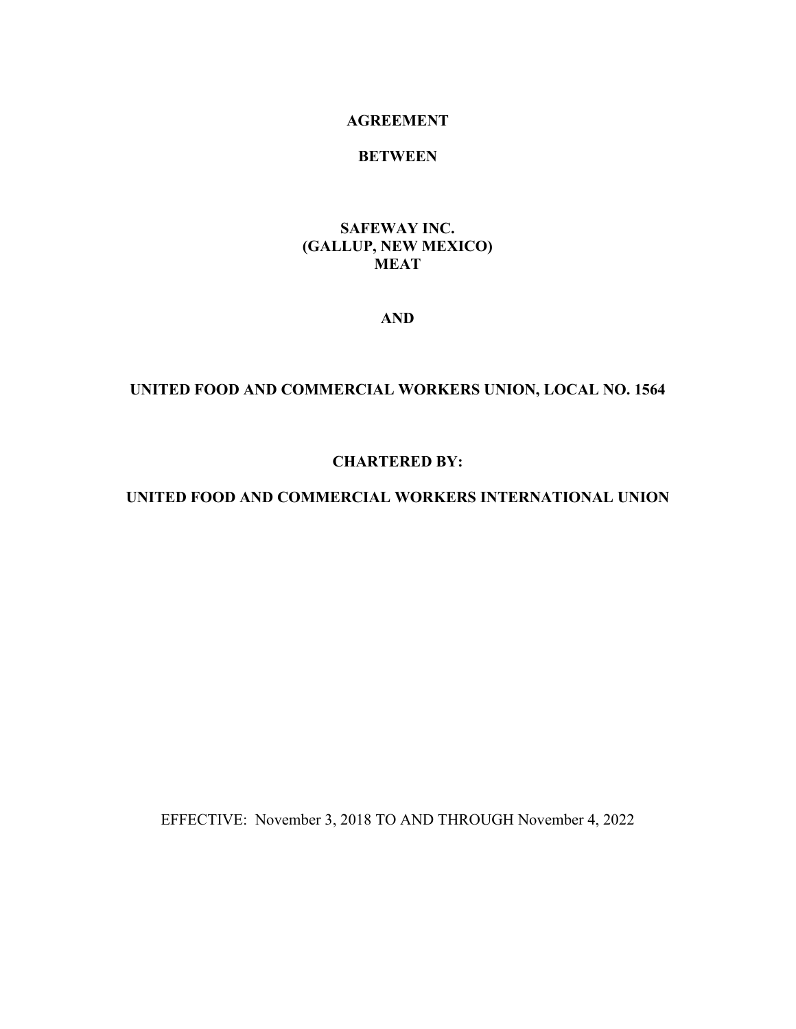#### **AGREEMENT**

## **BETWEEN**

### **SAFEWAY INC. (GALLUP, NEW MEXICO) MEAT**

## **AND**

# **UNITED FOOD AND COMMERCIAL WORKERS UNION, LOCAL NO. 1564**

### **CHARTERED BY:**

## **UNITED FOOD AND COMMERCIAL WORKERS INTERNATIONAL UNION**

EFFECTIVE: November 3, 2018 TO AND THROUGH November 4, 2022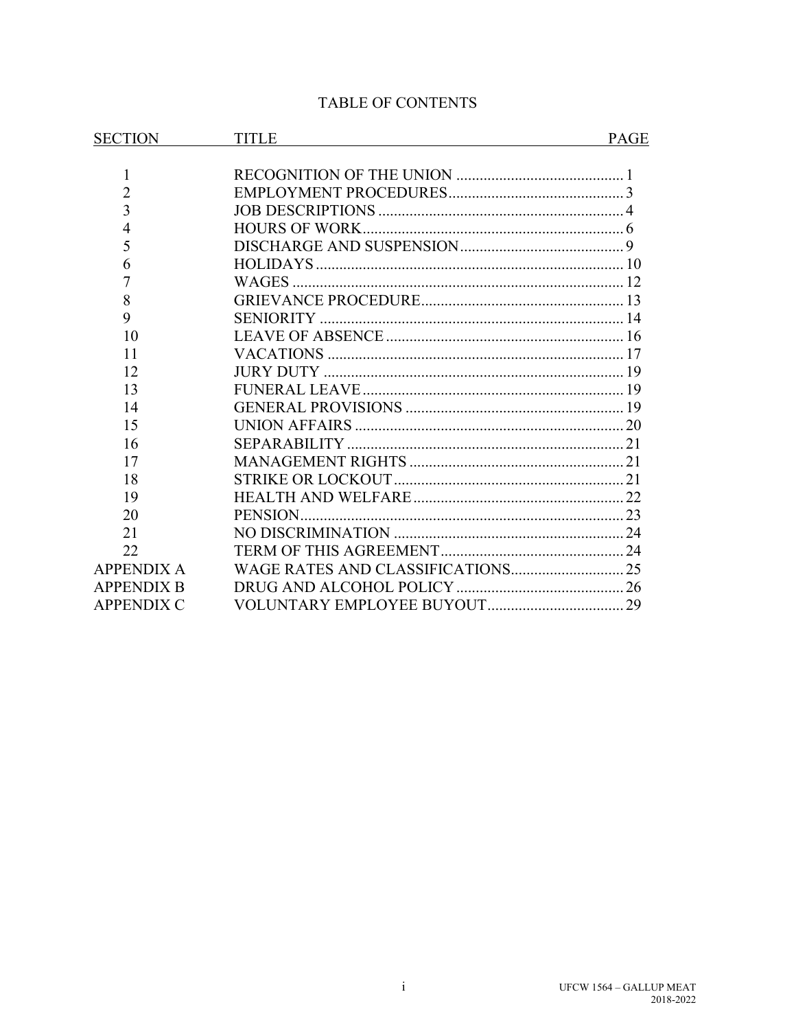# TABLE OF CONTENTS

| <b>SECTION</b>    | <b>TITLE</b> | <b>PAGE</b> |  |
|-------------------|--------------|-------------|--|
|                   |              |             |  |
| $\mathbf{1}$      |              |             |  |
| $\overline{2}$    |              |             |  |
| 3                 |              |             |  |
| 4                 |              |             |  |
| 5                 |              |             |  |
| 6                 |              |             |  |
| 7                 |              |             |  |
| 8                 |              |             |  |
| 9                 |              |             |  |
| 10                |              |             |  |
| 11                |              |             |  |
| 12                |              |             |  |
| 13                |              |             |  |
| 14                |              |             |  |
| 15                |              |             |  |
| 16                |              |             |  |
| 17                |              |             |  |
| 18                |              |             |  |
| 19                |              |             |  |
| 20                |              |             |  |
| 21                |              |             |  |
| 22                |              |             |  |
| <b>APPENDIX A</b> |              |             |  |
| <b>APPENDIX B</b> |              |             |  |
| <b>APPENDIX C</b> |              |             |  |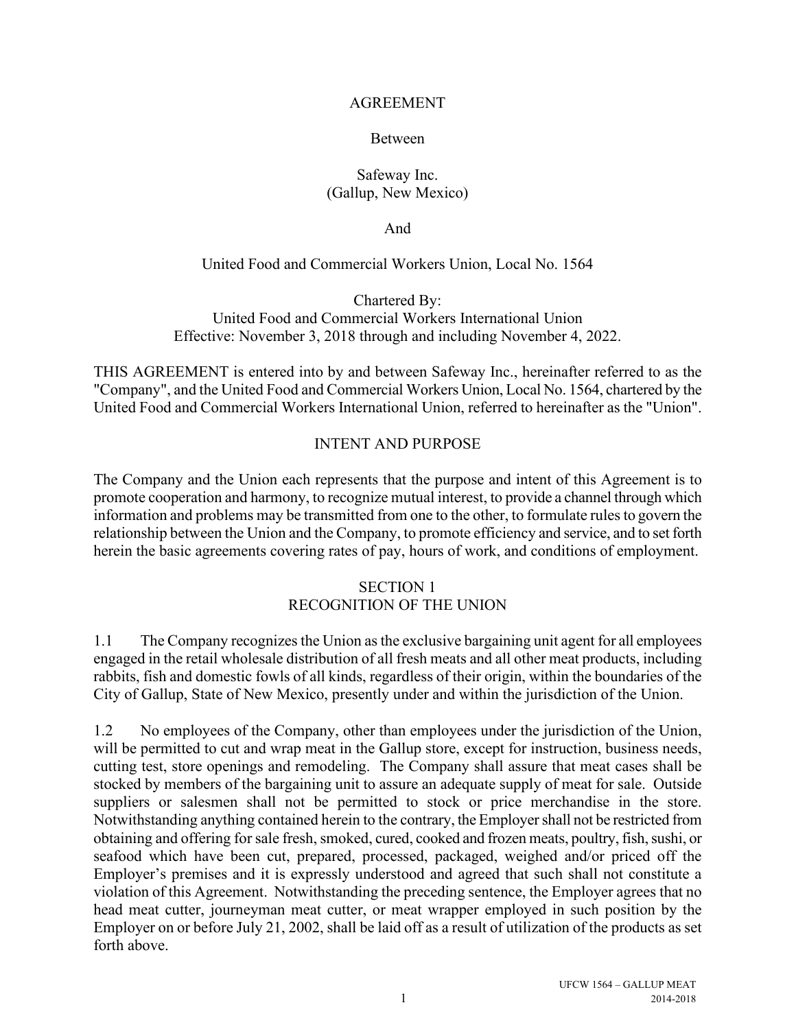### AGREEMENT

### Between

## Safeway Inc. (Gallup, New Mexico)

And

### United Food and Commercial Workers Union, Local No. 1564

Chartered By: United Food and Commercial Workers International Union Effective: November 3, 2018 through and including November 4, 2022.

THIS AGREEMENT is entered into by and between Safeway Inc., hereinafter referred to as the "Company", and the United Food and Commercial Workers Union, Local No. 1564, chartered by the United Food and Commercial Workers International Union, referred to hereinafter as the "Union".

## INTENT AND PURPOSE

The Company and the Union each represents that the purpose and intent of this Agreement is to promote cooperation and harmony, to recognize mutual interest, to provide a channel through which information and problems may be transmitted from one to the other, to formulate rules to govern the relationship between the Union and the Company, to promote efficiency and service, and to set forth herein the basic agreements covering rates of pay, hours of work, and conditions of employment.

### SECTION 1 RECOGNITION OF THE UNION

1.1 The Company recognizes the Union as the exclusive bargaining unit agent for all employees engaged in the retail wholesale distribution of all fresh meats and all other meat products, including rabbits, fish and domestic fowls of all kinds, regardless of their origin, within the boundaries of the City of Gallup, State of New Mexico, presently under and within the jurisdiction of the Union.

1.2 No employees of the Company, other than employees under the jurisdiction of the Union, will be permitted to cut and wrap meat in the Gallup store, except for instruction, business needs, cutting test, store openings and remodeling. The Company shall assure that meat cases shall be stocked by members of the bargaining unit to assure an adequate supply of meat for sale. Outside suppliers or salesmen shall not be permitted to stock or price merchandise in the store. Notwithstanding anything contained herein to the contrary, the Employershall not be restricted from obtaining and offering for sale fresh, smoked, cured, cooked and frozen meats, poultry, fish, sushi, or seafood which have been cut, prepared, processed, packaged, weighed and/or priced off the Employer's premises and it is expressly understood and agreed that such shall not constitute a violation of this Agreement. Notwithstanding the preceding sentence, the Employer agrees that no head meat cutter, journeyman meat cutter, or meat wrapper employed in such position by the Employer on or before July 21, 2002, shall be laid off as a result of utilization of the products as set forth above.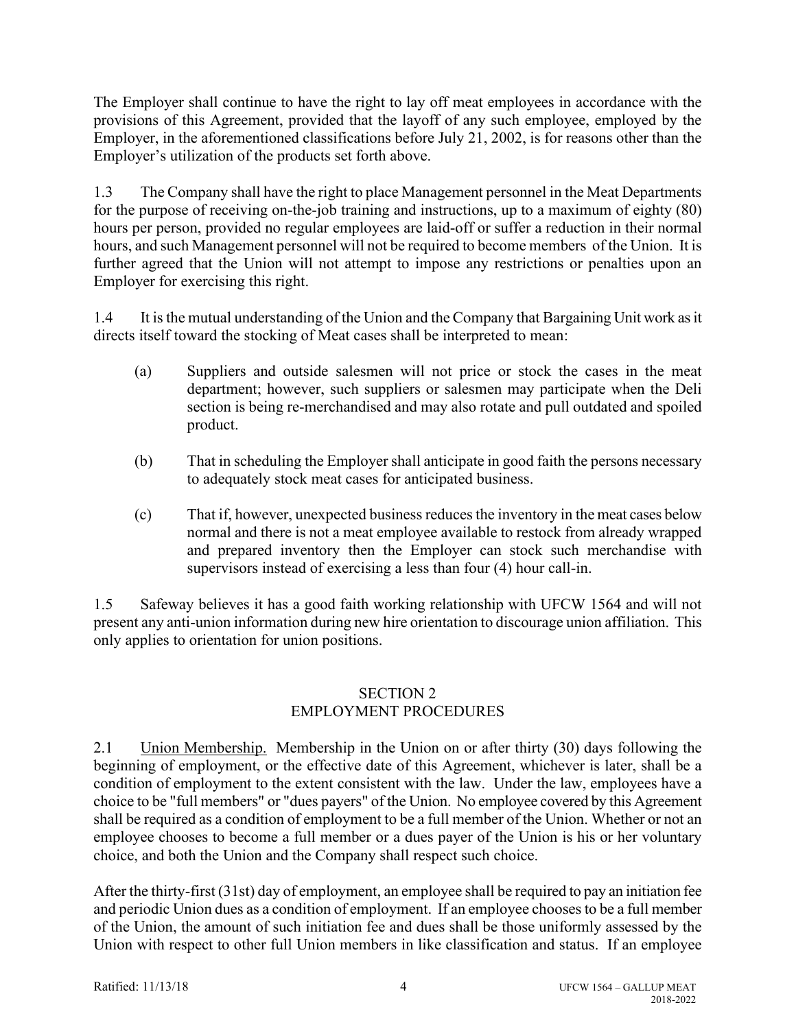The Employer shall continue to have the right to lay off meat employees in accordance with the provisions of this Agreement, provided that the layoff of any such employee, employed by the Employer, in the aforementioned classifications before July 21, 2002, is for reasons other than the Employer's utilization of the products set forth above.

1.3 The Company shall have the right to place Management personnel in the Meat Departments for the purpose of receiving on-the-job training and instructions, up to a maximum of eighty (80) hours per person, provided no regular employees are laid-off or suffer a reduction in their normal hours, and such Management personnel will not be required to become members of the Union. It is further agreed that the Union will not attempt to impose any restrictions or penalties upon an Employer for exercising this right.

1.4 It is the mutual understanding of the Union and the Company that Bargaining Unit work as it directs itself toward the stocking of Meat cases shall be interpreted to mean:

- (a) Suppliers and outside salesmen will not price or stock the cases in the meat department; however, such suppliers or salesmen may participate when the Deli section is being re-merchandised and may also rotate and pull outdated and spoiled product.
- (b) That in scheduling the Employer shall anticipate in good faith the persons necessary to adequately stock meat cases for anticipated business.
- (c) That if, however, unexpected business reduces the inventory in the meat cases below normal and there is not a meat employee available to restock from already wrapped and prepared inventory then the Employer can stock such merchandise with supervisors instead of exercising a less than four (4) hour call-in.

1.5 Safeway believes it has a good faith working relationship with UFCW 1564 and will not present any anti-union information during new hire orientation to discourage union affiliation. This only applies to orientation for union positions.

# SECTION 2 EMPLOYMENT PROCEDURES

2.1 Union Membership. Membership in the Union on or after thirty (30) days following the beginning of employment, or the effective date of this Agreement, whichever is later, shall be a condition of employment to the extent consistent with the law. Under the law, employees have a choice to be "full members" or "dues payers" of the Union. No employee covered by this Agreement shall be required as a condition of employment to be a full member of the Union. Whether or not an employee chooses to become a full member or a dues payer of the Union is his or her voluntary choice, and both the Union and the Company shall respect such choice.

After the thirty-first (31st) day of employment, an employee shall be required to pay an initiation fee and periodic Union dues as a condition of employment. If an employee chooses to be a full member of the Union, the amount of such initiation fee and dues shall be those uniformly assessed by the Union with respect to other full Union members in like classification and status. If an employee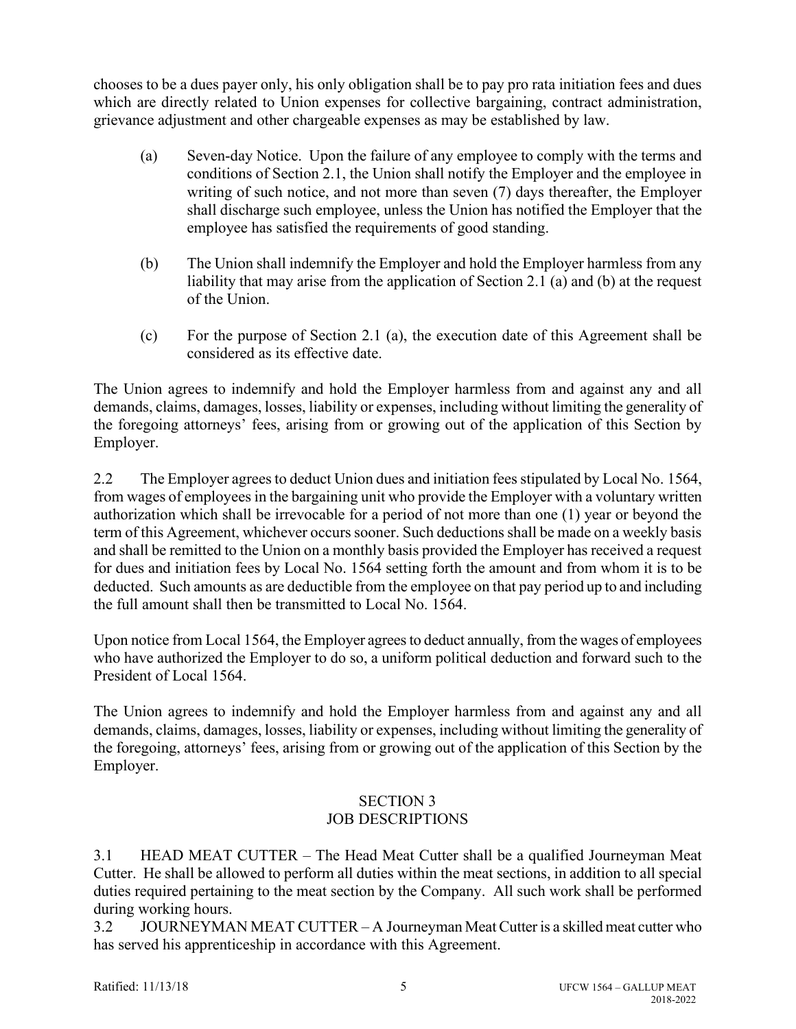chooses to be a dues payer only, his only obligation shall be to pay pro rata initiation fees and dues which are directly related to Union expenses for collective bargaining, contract administration, grievance adjustment and other chargeable expenses as may be established by law.

- (a) Seven-day Notice. Upon the failure of any employee to comply with the terms and conditions of Section 2.1, the Union shall notify the Employer and the employee in writing of such notice, and not more than seven (7) days thereafter, the Employer shall discharge such employee, unless the Union has notified the Employer that the employee has satisfied the requirements of good standing.
- (b) The Union shall indemnify the Employer and hold the Employer harmless from any liability that may arise from the application of Section 2.1 (a) and (b) at the request of the Union.
- (c) For the purpose of Section 2.1 (a), the execution date of this Agreement shall be considered as its effective date.

The Union agrees to indemnify and hold the Employer harmless from and against any and all demands, claims, damages, losses, liability or expenses, including without limiting the generality of the foregoing attorneys' fees, arising from or growing out of the application of this Section by Employer.

2.2 The Employer agrees to deduct Union dues and initiation fees stipulated by Local No. 1564, from wages of employees in the bargaining unit who provide the Employer with a voluntary written authorization which shall be irrevocable for a period of not more than one (1) year or beyond the term of this Agreement, whichever occurs sooner. Such deductions shall be made on a weekly basis and shall be remitted to the Union on a monthly basis provided the Employer has received a request for dues and initiation fees by Local No. 1564 setting forth the amount and from whom it is to be deducted. Such amounts as are deductible from the employee on that pay period up to and including the full amount shall then be transmitted to Local No. 1564.

Upon notice from Local 1564, the Employer agrees to deduct annually, from the wages of employees who have authorized the Employer to do so, a uniform political deduction and forward such to the President of Local 1564.

The Union agrees to indemnify and hold the Employer harmless from and against any and all demands, claims, damages, losses, liability or expenses, including without limiting the generality of the foregoing, attorneys' fees, arising from or growing out of the application of this Section by the Employer.

## SECTION 3 JOB DESCRIPTIONS

3.1 HEAD MEAT CUTTER – The Head Meat Cutter shall be a qualified Journeyman Meat Cutter. He shall be allowed to perform all duties within the meat sections, in addition to all special duties required pertaining to the meat section by the Company. All such work shall be performed during working hours.

3.2 JOURNEYMAN MEAT CUTTER – A Journeyman Meat Cutter is a skilled meat cutter who has served his apprenticeship in accordance with this Agreement.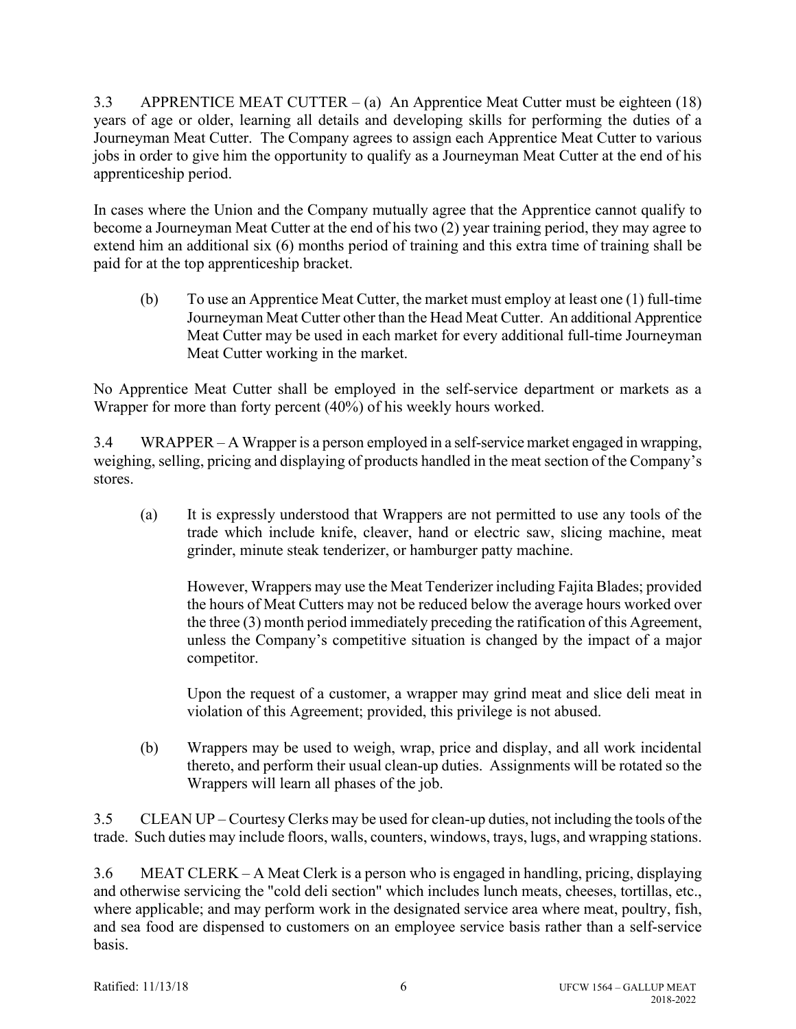3.3 APPRENTICE MEAT CUTTER – (a) An Apprentice Meat Cutter must be eighteen (18) years of age or older, learning all details and developing skills for performing the duties of a Journeyman Meat Cutter. The Company agrees to assign each Apprentice Meat Cutter to various jobs in order to give him the opportunity to qualify as a Journeyman Meat Cutter at the end of his apprenticeship period.

In cases where the Union and the Company mutually agree that the Apprentice cannot qualify to become a Journeyman Meat Cutter at the end of his two (2) year training period, they may agree to extend him an additional six (6) months period of training and this extra time of training shall be paid for at the top apprenticeship bracket.

(b) To use an Apprentice Meat Cutter, the market must employ at least one (1) full-time Journeyman Meat Cutter other than the Head Meat Cutter. An additional Apprentice Meat Cutter may be used in each market for every additional full-time Journeyman Meat Cutter working in the market.

No Apprentice Meat Cutter shall be employed in the self-service department or markets as a Wrapper for more than forty percent (40%) of his weekly hours worked.

3.4 WRAPPER – A Wrapper is a person employed in a self-service market engaged in wrapping, weighing, selling, pricing and displaying of products handled in the meat section of the Company's stores.

(a) It is expressly understood that Wrappers are not permitted to use any tools of the trade which include knife, cleaver, hand or electric saw, slicing machine, meat grinder, minute steak tenderizer, or hamburger patty machine.

However, Wrappers may use the Meat Tenderizer including Fajita Blades; provided the hours of Meat Cutters may not be reduced below the average hours worked over the three (3) month period immediately preceding the ratification of this Agreement, unless the Company's competitive situation is changed by the impact of a major competitor.

Upon the request of a customer, a wrapper may grind meat and slice deli meat in violation of this Agreement; provided, this privilege is not abused.

(b) Wrappers may be used to weigh, wrap, price and display, and all work incidental thereto, and perform their usual clean-up duties. Assignments will be rotated so the Wrappers will learn all phases of the job.

3.5 CLEAN UP – Courtesy Clerks may be used for clean-up duties, not including the tools of the trade. Such duties may include floors, walls, counters, windows, trays, lugs, and wrapping stations.

3.6 MEAT CLERK – A Meat Clerk is a person who is engaged in handling, pricing, displaying and otherwise servicing the "cold deli section" which includes lunch meats, cheeses, tortillas, etc., where applicable; and may perform work in the designated service area where meat, poultry, fish, and sea food are dispensed to customers on an employee service basis rather than a self-service basis.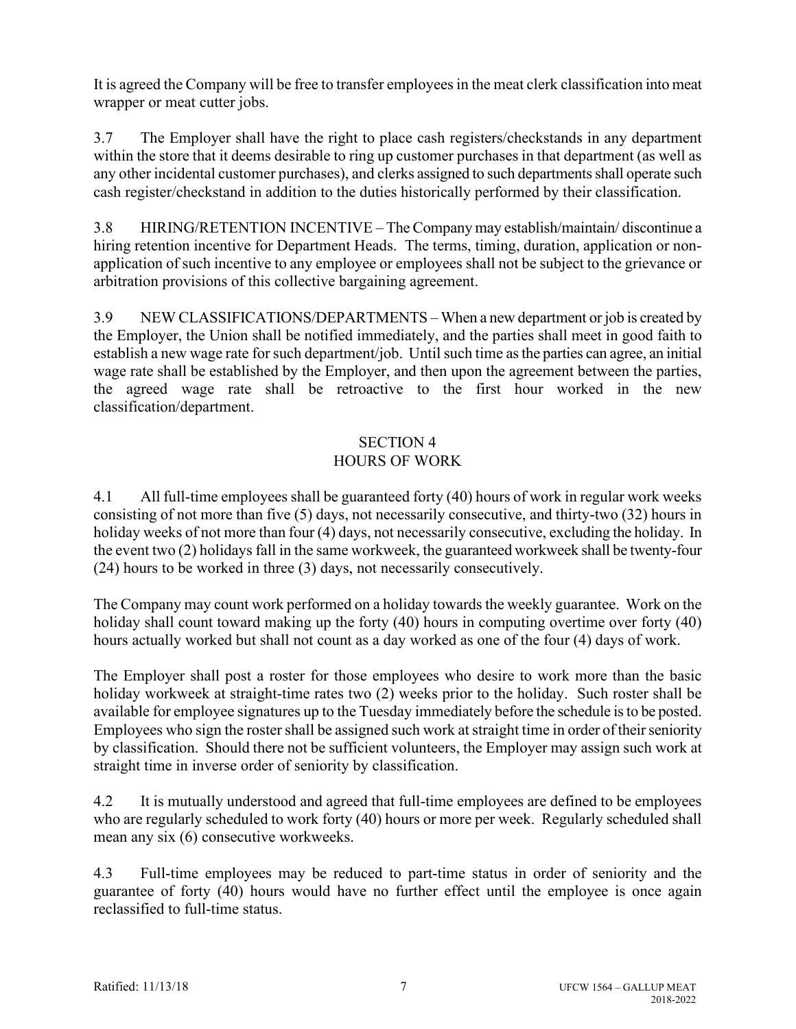It is agreed the Company will be free to transfer employees in the meat clerk classification into meat wrapper or meat cutter jobs.

3.7 The Employer shall have the right to place cash registers/checkstands in any department within the store that it deems desirable to ring up customer purchases in that department (as well as any other incidental customer purchases), and clerks assigned to such departments shall operate such cash register/checkstand in addition to the duties historically performed by their classification.

3.8 HIRING/RETENTION INCENTIVE – The Company may establish/maintain/ discontinue a hiring retention incentive for Department Heads. The terms, timing, duration, application or nonapplication of such incentive to any employee or employees shall not be subject to the grievance or arbitration provisions of this collective bargaining agreement.

3.9 NEW CLASSIFICATIONS/DEPARTMENTS – When a new department or job is created by the Employer, the Union shall be notified immediately, and the parties shall meet in good faith to establish a new wage rate for such department/job. Until such time as the parties can agree, an initial wage rate shall be established by the Employer, and then upon the agreement between the parties, the agreed wage rate shall be retroactive to the first hour worked in the new classification/department.

# SECTION 4 HOURS OF WORK

4.1 All full-time employees shall be guaranteed forty (40) hours of work in regular work weeks consisting of not more than five (5) days, not necessarily consecutive, and thirty-two (32) hours in holiday weeks of not more than four (4) days, not necessarily consecutive, excluding the holiday. In the event two (2) holidays fall in the same workweek, the guaranteed workweek shall be twenty-four (24) hours to be worked in three (3) days, not necessarily consecutively.

The Company may count work performed on a holiday towards the weekly guarantee. Work on the holiday shall count toward making up the forty (40) hours in computing overtime over forty (40) hours actually worked but shall not count as a day worked as one of the four (4) days of work.

The Employer shall post a roster for those employees who desire to work more than the basic holiday workweek at straight-time rates two (2) weeks prior to the holiday. Such roster shall be available for employee signatures up to the Tuesday immediately before the schedule is to be posted. Employees who sign the roster shall be assigned such work at straight time in order of their seniority by classification. Should there not be sufficient volunteers, the Employer may assign such work at straight time in inverse order of seniority by classification.

4.2 It is mutually understood and agreed that full-time employees are defined to be employees who are regularly scheduled to work forty (40) hours or more per week. Regularly scheduled shall mean any six (6) consecutive workweeks.

4.3 Full-time employees may be reduced to part-time status in order of seniority and the guarantee of forty (40) hours would have no further effect until the employee is once again reclassified to full-time status.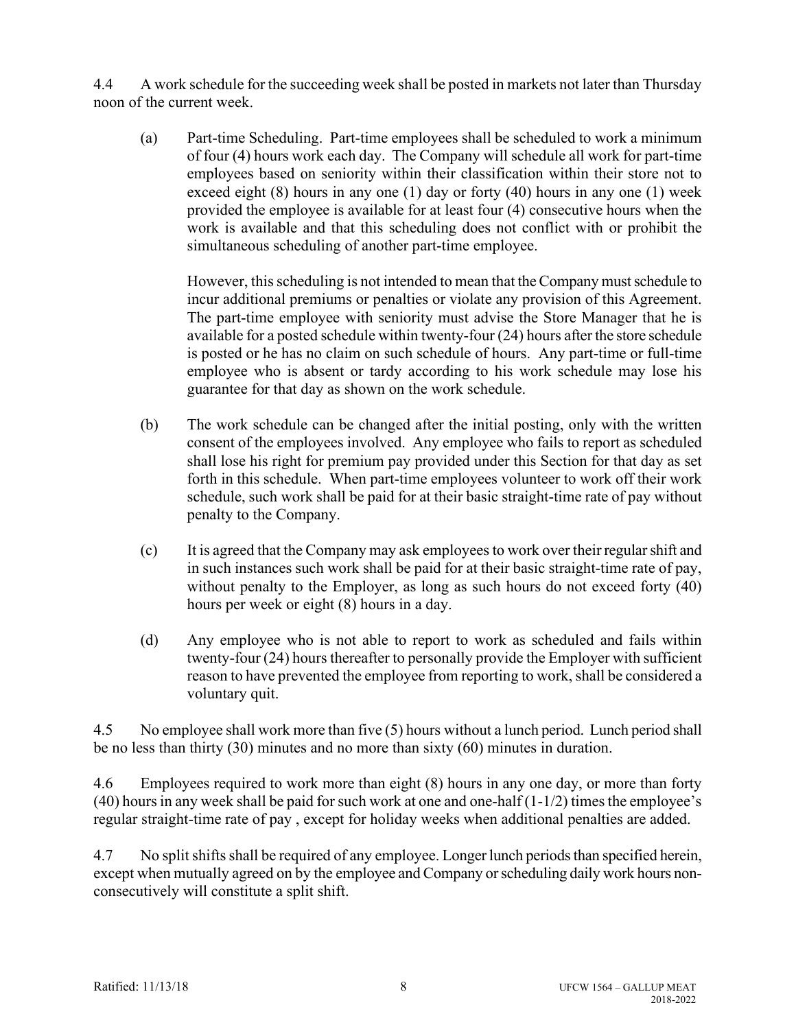4.4 A work schedule for the succeeding week shall be posted in markets not later than Thursday noon of the current week.

(a) Part-time Scheduling. Part-time employees shall be scheduled to work a minimum of four (4) hours work each day. The Company will schedule all work for part-time employees based on seniority within their classification within their store not to exceed eight (8) hours in any one (1) day or forty (40) hours in any one (1) week provided the employee is available for at least four (4) consecutive hours when the work is available and that this scheduling does not conflict with or prohibit the simultaneous scheduling of another part-time employee.

However, this scheduling is not intended to mean that the Company must schedule to incur additional premiums or penalties or violate any provision of this Agreement. The part-time employee with seniority must advise the Store Manager that he is available for a posted schedule within twenty-four (24) hours after the store schedule is posted or he has no claim on such schedule of hours. Any part-time or full-time employee who is absent or tardy according to his work schedule may lose his guarantee for that day as shown on the work schedule.

- (b) The work schedule can be changed after the initial posting, only with the written consent of the employees involved. Any employee who fails to report as scheduled shall lose his right for premium pay provided under this Section for that day as set forth in this schedule. When part-time employees volunteer to work off their work schedule, such work shall be paid for at their basic straight-time rate of pay without penalty to the Company.
- (c) It is agreed that the Company may ask employees to work over their regular shift and in such instances such work shall be paid for at their basic straight-time rate of pay, without penalty to the Employer, as long as such hours do not exceed forty (40) hours per week or eight (8) hours in a day.
- (d) Any employee who is not able to report to work as scheduled and fails within twenty-four (24) hours thereafter to personally provide the Employer with sufficient reason to have prevented the employee from reporting to work, shall be considered a voluntary quit.

4.5 No employee shall work more than five (5) hours without a lunch period. Lunch period shall be no less than thirty (30) minutes and no more than sixty (60) minutes in duration.

4.6 Employees required to work more than eight (8) hours in any one day, or more than forty (40) hours in any week shall be paid for such work at one and one-half  $(1-1/2)$  times the employee's regular straight-time rate of pay , except for holiday weeks when additional penalties are added.

4.7 No split shifts shall be required of any employee. Longer lunch periods than specified herein, except when mutually agreed on by the employee and Company or scheduling daily work hours nonconsecutively will constitute a split shift.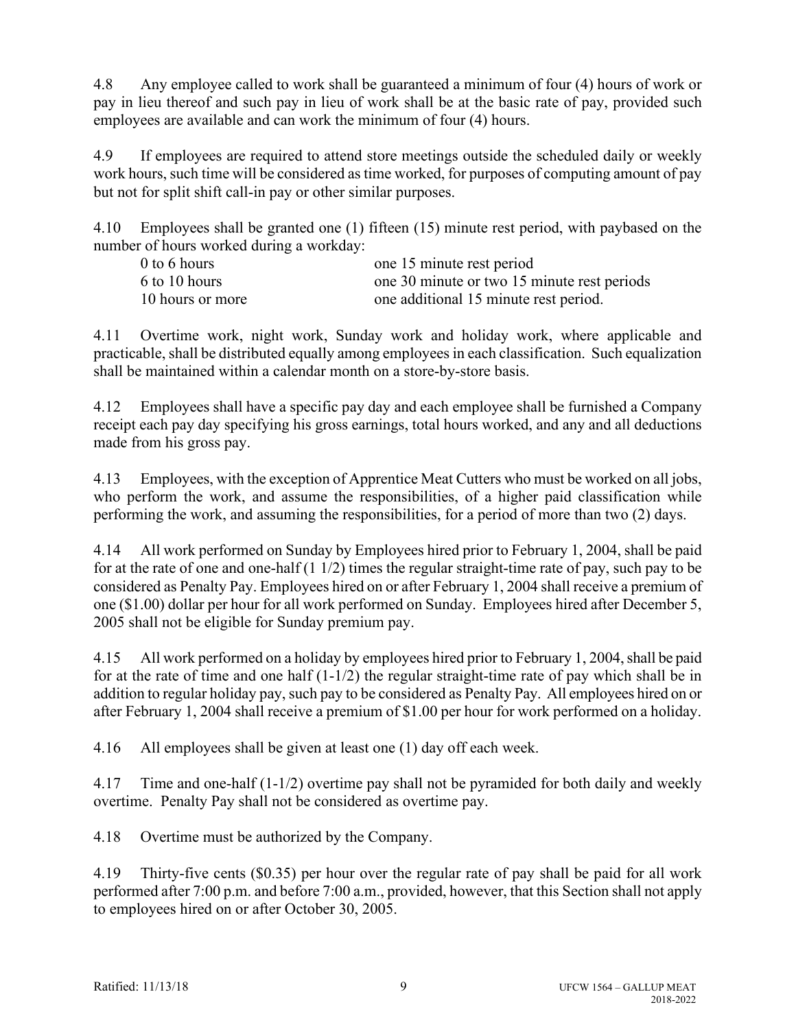4.8 Any employee called to work shall be guaranteed a minimum of four (4) hours of work or pay in lieu thereof and such pay in lieu of work shall be at the basic rate of pay, provided such employees are available and can work the minimum of four (4) hours.

4.9 If employees are required to attend store meetings outside the scheduled daily or weekly work hours, such time will be considered as time worked, for purposes of computing amount of pay but not for split shift call-in pay or other similar purposes.

4.10 Employees shall be granted one (1) fifteen (15) minute rest period, with paybased on the number of hours worked during a workday:

| $0$ to 6 hours   | one 15 minute rest period                   |
|------------------|---------------------------------------------|
| 6 to 10 hours    | one 30 minute or two 15 minute rest periods |
| 10 hours or more | one additional 15 minute rest period.       |

4.11 Overtime work, night work, Sunday work and holiday work, where applicable and practicable, shall be distributed equally among employees in each classification. Such equalization shall be maintained within a calendar month on a store-by-store basis.

4.12 Employees shall have a specific pay day and each employee shall be furnished a Company receipt each pay day specifying his gross earnings, total hours worked, and any and all deductions made from his gross pay.

4.13 Employees, with the exception of Apprentice Meat Cutters who must be worked on all jobs, who perform the work, and assume the responsibilities, of a higher paid classification while performing the work, and assuming the responsibilities, for a period of more than two (2) days.

4.14 All work performed on Sunday by Employees hired prior to February 1, 2004, shall be paid for at the rate of one and one-half (1 1/2) times the regular straight-time rate of pay, such pay to be considered as Penalty Pay. Employees hired on or after February 1, 2004 shall receive a premium of one (\$1.00) dollar per hour for all work performed on Sunday. Employees hired after December 5, 2005 shall not be eligible for Sunday premium pay.

4.15 All work performed on a holiday by employees hired prior to February 1, 2004, shall be paid for at the rate of time and one half (1-1/2) the regular straight-time rate of pay which shall be in addition to regular holiday pay, such pay to be considered as Penalty Pay. All employees hired on or after February 1, 2004 shall receive a premium of \$1.00 per hour for work performed on a holiday.

4.16 All employees shall be given at least one (1) day off each week.

4.17 Time and one-half (1-1/2) overtime pay shall not be pyramided for both daily and weekly overtime. Penalty Pay shall not be considered as overtime pay.

4.18 Overtime must be authorized by the Company.

4.19 Thirty-five cents (\$0.35) per hour over the regular rate of pay shall be paid for all work performed after 7:00 p.m. and before 7:00 a.m., provided, however, that this Section shall not apply to employees hired on or after October 30, 2005.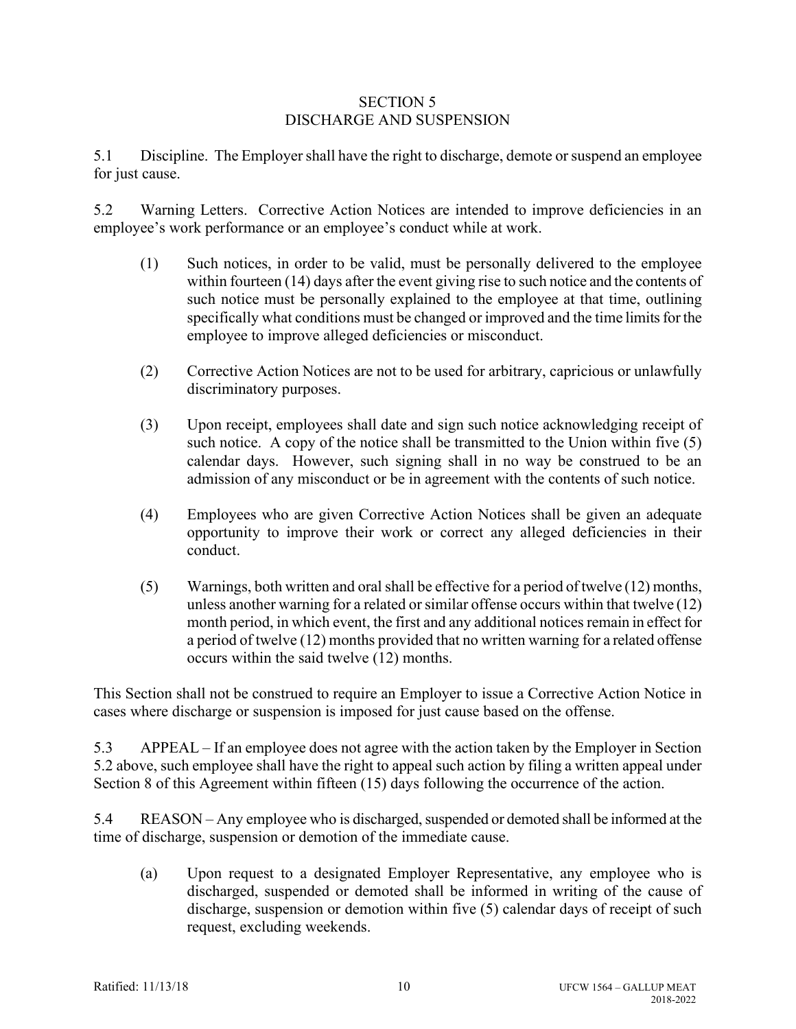### SECTION 5 DISCHARGE AND SUSPENSION

5.1 Discipline. The Employer shall have the right to discharge, demote or suspend an employee for just cause.

5.2 Warning Letters. Corrective Action Notices are intended to improve deficiencies in an employee's work performance or an employee's conduct while at work.

- (1) Such notices, in order to be valid, must be personally delivered to the employee within fourteen (14) days after the event giving rise to such notice and the contents of such notice must be personally explained to the employee at that time, outlining specifically what conditions must be changed or improved and the time limits for the employee to improve alleged deficiencies or misconduct.
- (2) Corrective Action Notices are not to be used for arbitrary, capricious or unlawfully discriminatory purposes.
- (3) Upon receipt, employees shall date and sign such notice acknowledging receipt of such notice. A copy of the notice shall be transmitted to the Union within five (5) calendar days. However, such signing shall in no way be construed to be an admission of any misconduct or be in agreement with the contents of such notice.
- (4) Employees who are given Corrective Action Notices shall be given an adequate opportunity to improve their work or correct any alleged deficiencies in their conduct.
- (5) Warnings, both written and oral shall be effective for a period of twelve (12) months, unless another warning for a related or similar offense occurs within that twelve (12) month period, in which event, the first and any additional notices remain in effect for a period of twelve (12) months provided that no written warning for a related offense occurs within the said twelve (12) months.

This Section shall not be construed to require an Employer to issue a Corrective Action Notice in cases where discharge or suspension is imposed for just cause based on the offense.

5.3 APPEAL – If an employee does not agree with the action taken by the Employer in Section 5.2 above, such employee shall have the right to appeal such action by filing a written appeal under Section 8 of this Agreement within fifteen (15) days following the occurrence of the action.

5.4 REASON – Any employee who is discharged, suspended or demoted shall be informed at the time of discharge, suspension or demotion of the immediate cause.

(a) Upon request to a designated Employer Representative, any employee who is discharged, suspended or demoted shall be informed in writing of the cause of discharge, suspension or demotion within five (5) calendar days of receipt of such request, excluding weekends.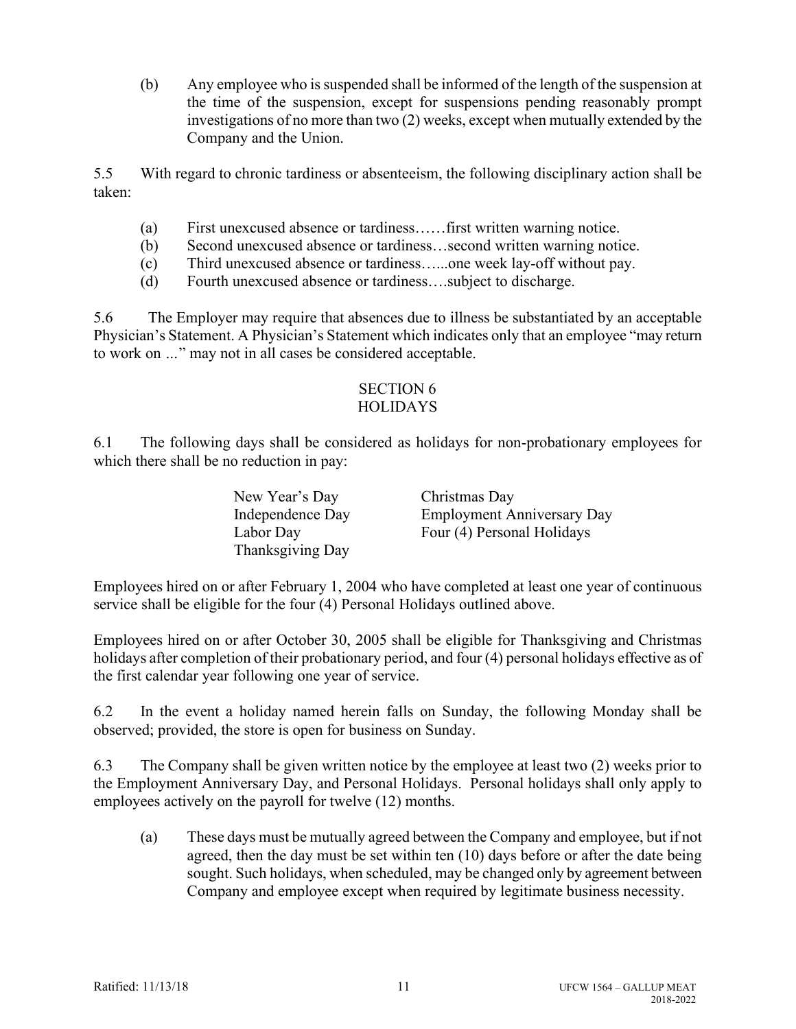(b) Any employee who is suspended shall be informed of the length of the suspension at the time of the suspension, except for suspensions pending reasonably prompt investigations of no more than two (2) weeks, except when mutually extended by the Company and the Union.

5.5 With regard to chronic tardiness or absenteeism, the following disciplinary action shall be taken:

- (a) First unexcused absence or tardiness……first written warning notice.
- (b) Second unexcused absence or tardiness…second written warning notice.
- (c) Third unexcused absence or tardiness…...one week lay-off without pay.
- (d) Fourth unexcused absence or tardiness….subject to discharge.

5.6 The Employer may require that absences due to illness be substantiated by an acceptable Physician's Statement. A Physician's Statement which indicates only that an employee "may return to work on *…*" may not in all cases be considered acceptable.

### SECTION 6 HOLIDAYS

6.1 The following days shall be considered as holidays for non-probationary employees for which there shall be no reduction in pay:

| New Year's Day   | Christmas Day                     |
|------------------|-----------------------------------|
| Independence Day | <b>Employment Anniversary Day</b> |
| Labor Day        | Four (4) Personal Holidays        |
| Thanksgiving Day |                                   |

Employees hired on or after February 1, 2004 who have completed at least one year of continuous service shall be eligible for the four (4) Personal Holidays outlined above.

Employees hired on or after October 30, 2005 shall be eligible for Thanksgiving and Christmas holidays after completion of their probationary period, and four (4) personal holidays effective as of the first calendar year following one year of service.

6.2 In the event a holiday named herein falls on Sunday, the following Monday shall be observed; provided, the store is open for business on Sunday.

6.3 The Company shall be given written notice by the employee at least two (2) weeks prior to the Employment Anniversary Day, and Personal Holidays. Personal holidays shall only apply to employees actively on the payroll for twelve (12) months.

(a) These days must be mutually agreed between the Company and employee, but if not agreed, then the day must be set within ten (10) days before or after the date being sought. Such holidays, when scheduled, may be changed only by agreement between Company and employee except when required by legitimate business necessity.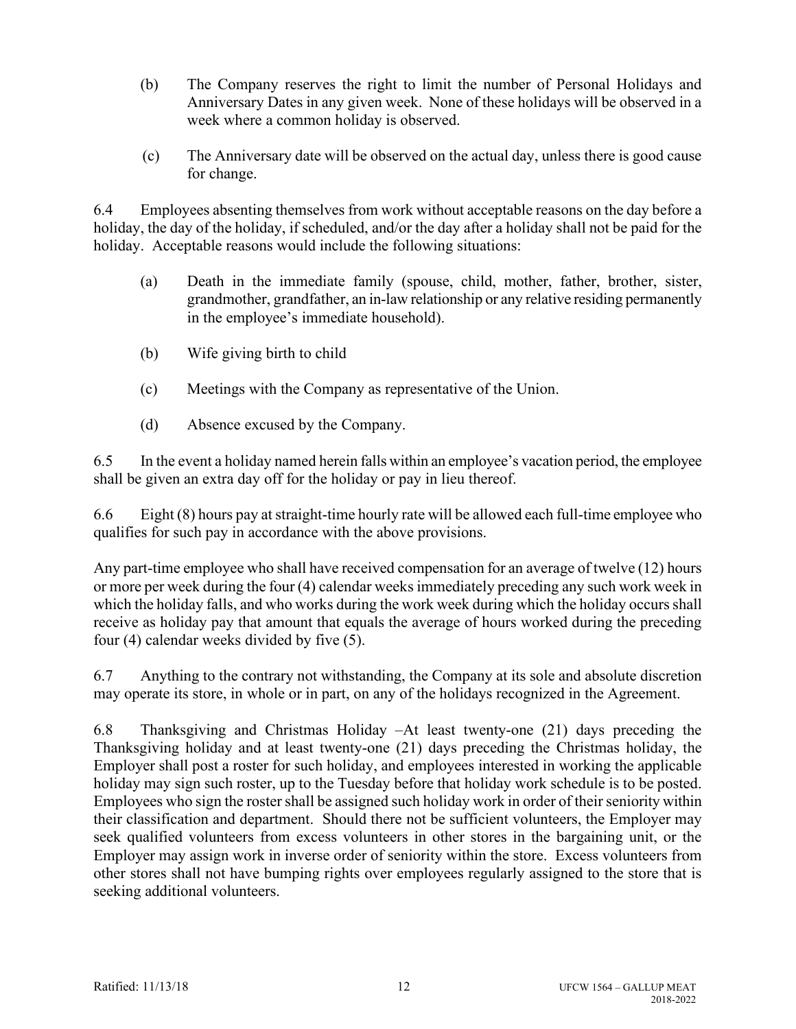- (b) The Company reserves the right to limit the number of Personal Holidays and Anniversary Dates in any given week. None of these holidays will be observed in a week where a common holiday is observed.
- (c) The Anniversary date will be observed on the actual day, unless there is good cause for change.

6.4 Employees absenting themselves from work without acceptable reasons on the day before a holiday, the day of the holiday, if scheduled, and/or the day after a holiday shall not be paid for the holiday. Acceptable reasons would include the following situations:

- (a) Death in the immediate family (spouse, child, mother, father, brother, sister, grandmother, grandfather, an in-law relationship or any relative residing permanently in the employee's immediate household).
- (b) Wife giving birth to child
- (c) Meetings with the Company as representative of the Union.
- (d) Absence excused by the Company.

6.5 In the event a holiday named herein falls within an employee's vacation period, the employee shall be given an extra day off for the holiday or pay in lieu thereof.

6.6 Eight (8) hours pay at straight-time hourly rate will be allowed each full-time employee who qualifies for such pay in accordance with the above provisions.

Any part-time employee who shall have received compensation for an average of twelve (12) hours or more per week during the four (4) calendar weeks immediately preceding any such work week in which the holiday falls, and who works during the work week during which the holiday occurs shall receive as holiday pay that amount that equals the average of hours worked during the preceding four (4) calendar weeks divided by five (5).

6.7 Anything to the contrary not withstanding, the Company at its sole and absolute discretion may operate its store, in whole or in part, on any of the holidays recognized in the Agreement.

6.8 Thanksgiving and Christmas Holiday –At least twenty-one (21) days preceding the Thanksgiving holiday and at least twenty-one (21) days preceding the Christmas holiday, the Employer shall post a roster for such holiday, and employees interested in working the applicable holiday may sign such roster, up to the Tuesday before that holiday work schedule is to be posted. Employees who sign the roster shall be assigned such holiday work in order of their seniority within their classification and department. Should there not be sufficient volunteers, the Employer may seek qualified volunteers from excess volunteers in other stores in the bargaining unit, or the Employer may assign work in inverse order of seniority within the store. Excess volunteers from other stores shall not have bumping rights over employees regularly assigned to the store that is seeking additional volunteers.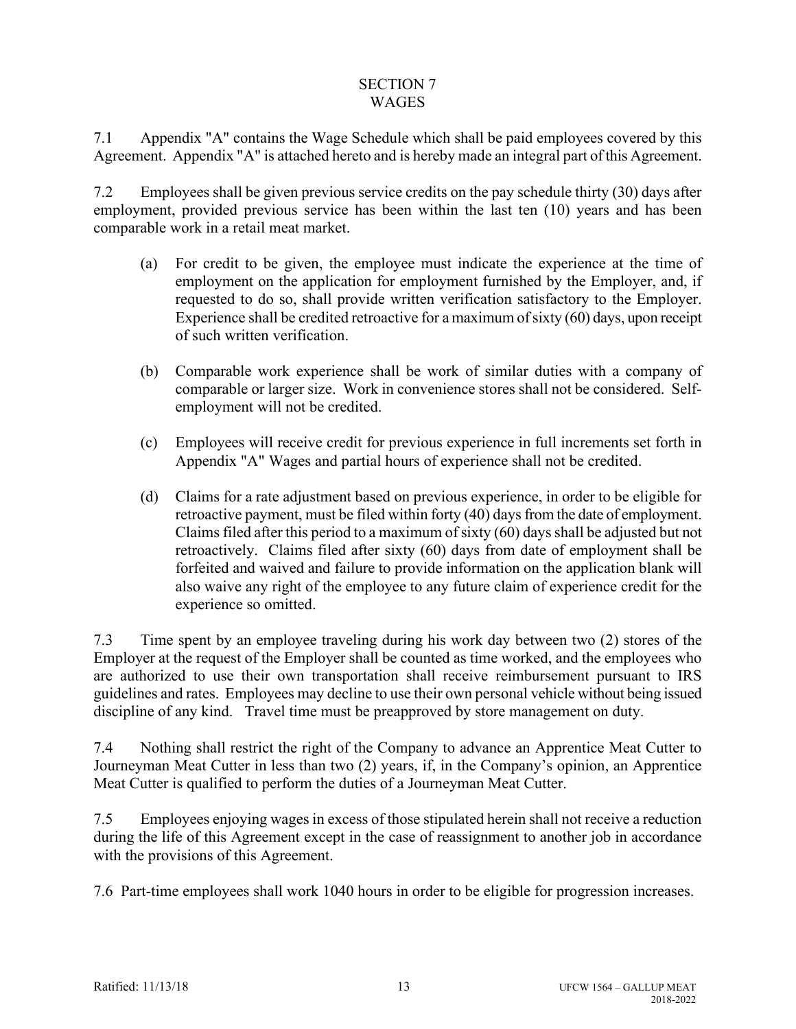### SECTION 7 WAGES

7.1 Appendix "A" contains the Wage Schedule which shall be paid employees covered by this Agreement. Appendix "A" is attached hereto and is hereby made an integral part of this Agreement.

7.2 Employees shall be given previous service credits on the pay schedule thirty (30) days after employment, provided previous service has been within the last ten (10) years and has been comparable work in a retail meat market.

- (a) For credit to be given, the employee must indicate the experience at the time of employment on the application for employment furnished by the Employer, and, if requested to do so, shall provide written verification satisfactory to the Employer. Experience shall be credited retroactive for a maximum of sixty (60) days, upon receipt of such written verification.
- (b) Comparable work experience shall be work of similar duties with a company of comparable or larger size. Work in convenience stores shall not be considered. Selfemployment will not be credited.
- (c) Employees will receive credit for previous experience in full increments set forth in Appendix "A" Wages and partial hours of experience shall not be credited.
- (d) Claims for a rate adjustment based on previous experience, in order to be eligible for retroactive payment, must be filed within forty (40) days from the date of employment. Claims filed after this period to a maximum of sixty (60) daysshall be adjusted but not retroactively. Claims filed after sixty (60) days from date of employment shall be forfeited and waived and failure to provide information on the application blank will also waive any right of the employee to any future claim of experience credit for the experience so omitted.

7.3 Time spent by an employee traveling during his work day between two (2) stores of the Employer at the request of the Employer shall be counted as time worked, and the employees who are authorized to use their own transportation shall receive reimbursement pursuant to IRS guidelines and rates. Employees may decline to use their own personal vehicle without being issued discipline of any kind. Travel time must be preapproved by store management on duty.

7.4 Nothing shall restrict the right of the Company to advance an Apprentice Meat Cutter to Journeyman Meat Cutter in less than two (2) years, if, in the Company's opinion, an Apprentice Meat Cutter is qualified to perform the duties of a Journeyman Meat Cutter.

7.5 Employees enjoying wages in excess of those stipulated herein shall not receive a reduction during the life of this Agreement except in the case of reassignment to another job in accordance with the provisions of this Agreement.

7.6 Part-time employees shall work 1040 hours in order to be eligible for progression increases.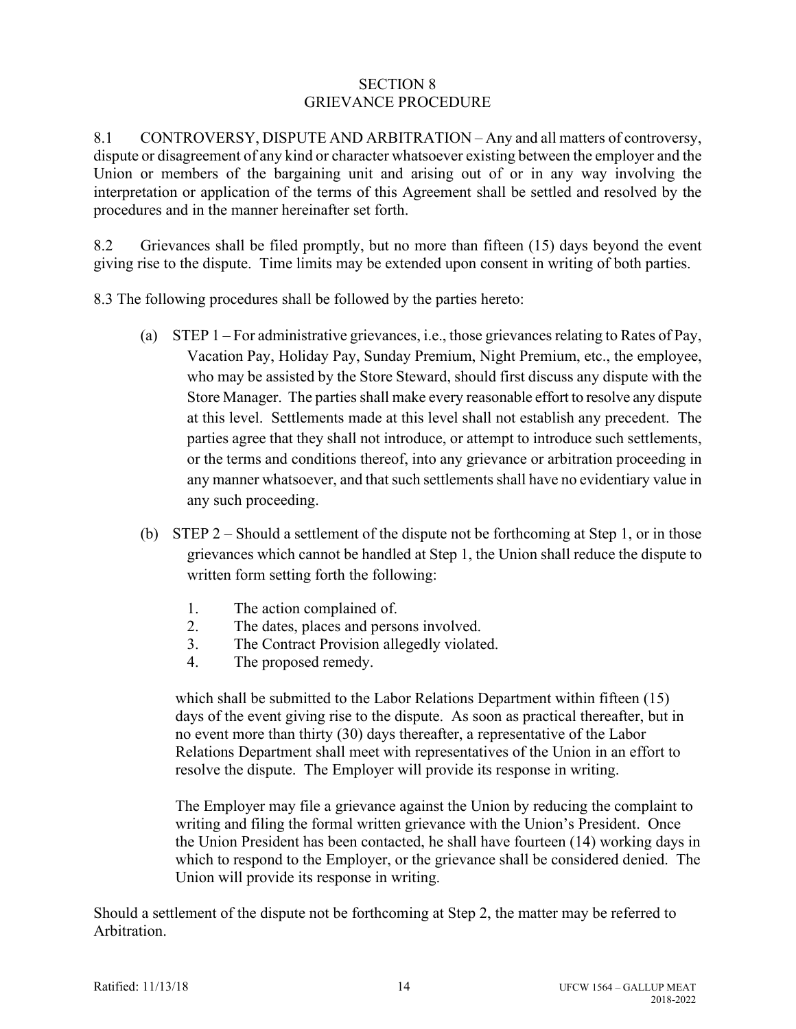### SECTION 8 GRIEVANCE PROCEDURE

8.1 CONTROVERSY, DISPUTE AND ARBITRATION – Any and all matters of controversy, dispute or disagreement of any kind or character whatsoever existing between the employer and the Union or members of the bargaining unit and arising out of or in any way involving the interpretation or application of the terms of this Agreement shall be settled and resolved by the procedures and in the manner hereinafter set forth.

8.2 Grievances shall be filed promptly, but no more than fifteen (15) days beyond the event giving rise to the dispute. Time limits may be extended upon consent in writing of both parties.

8.3 The following procedures shall be followed by the parties hereto:

- (a) STEP 1 For administrative grievances, i.e., those grievances relating to Rates of Pay, Vacation Pay, Holiday Pay, Sunday Premium, Night Premium, etc., the employee, who may be assisted by the Store Steward, should first discuss any dispute with the Store Manager. The parties shall make every reasonable effort to resolve any dispute at this level. Settlements made at this level shall not establish any precedent. The parties agree that they shall not introduce, or attempt to introduce such settlements, or the terms and conditions thereof, into any grievance or arbitration proceeding in any manner whatsoever, and that such settlements shall have no evidentiary value in any such proceeding.
- (b) STEP  $2$  Should a settlement of the dispute not be forthcoming at Step 1, or in those grievances which cannot be handled at Step 1, the Union shall reduce the dispute to written form setting forth the following:
	- 1. The action complained of.
	- 2. The dates, places and persons involved.
	- 3. The Contract Provision allegedly violated.
	- 4. The proposed remedy.

which shall be submitted to the Labor Relations Department within fifteen (15) days of the event giving rise to the dispute. As soon as practical thereafter, but in no event more than thirty (30) days thereafter, a representative of the Labor Relations Department shall meet with representatives of the Union in an effort to resolve the dispute. The Employer will provide its response in writing.

The Employer may file a grievance against the Union by reducing the complaint to writing and filing the formal written grievance with the Union's President. Once the Union President has been contacted, he shall have fourteen (14) working days in which to respond to the Employer, or the grievance shall be considered denied. The Union will provide its response in writing.

Should a settlement of the dispute not be forthcoming at Step 2, the matter may be referred to Arbitration.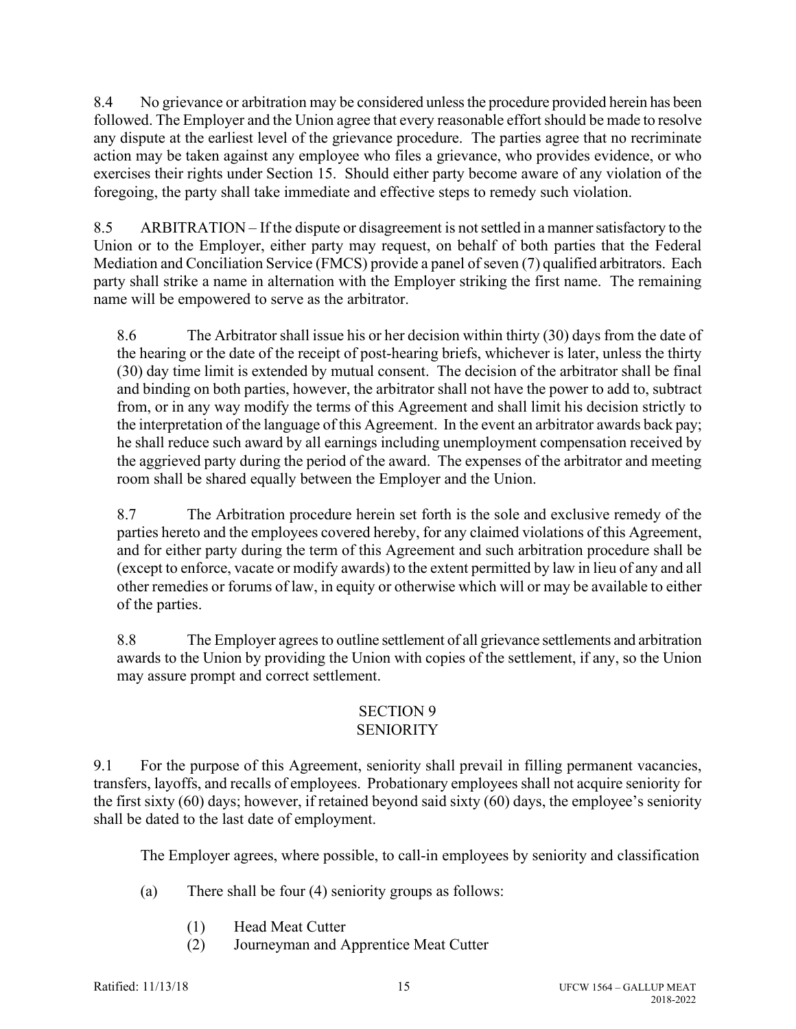8.4 No grievance or arbitration may be considered unless the procedure provided herein has been followed. The Employer and the Union agree that every reasonable effort should be made to resolve any dispute at the earliest level of the grievance procedure. The parties agree that no recriminate action may be taken against any employee who files a grievance, who provides evidence, or who exercises their rights under Section 15. Should either party become aware of any violation of the foregoing, the party shall take immediate and effective steps to remedy such violation.

8.5 ARBITRATION – If the dispute or disagreement is not settled in a manner satisfactory to the Union or to the Employer, either party may request, on behalf of both parties that the Federal Mediation and Conciliation Service (FMCS) provide a panel of seven (7) qualified arbitrators. Each party shall strike a name in alternation with the Employer striking the first name. The remaining name will be empowered to serve as the arbitrator.

8.6 The Arbitrator shall issue his or her decision within thirty (30) days from the date of the hearing or the date of the receipt of post-hearing briefs, whichever is later, unless the thirty (30) day time limit is extended by mutual consent. The decision of the arbitrator shall be final and binding on both parties, however, the arbitrator shall not have the power to add to, subtract from, or in any way modify the terms of this Agreement and shall limit his decision strictly to the interpretation of the language of this Agreement. In the event an arbitrator awards back pay; he shall reduce such award by all earnings including unemployment compensation received by the aggrieved party during the period of the award. The expenses of the arbitrator and meeting room shall be shared equally between the Employer and the Union.

8.7 The Arbitration procedure herein set forth is the sole and exclusive remedy of the parties hereto and the employees covered hereby, for any claimed violations of this Agreement, and for either party during the term of this Agreement and such arbitration procedure shall be (except to enforce, vacate or modify awards) to the extent permitted by law in lieu of any and all other remedies or forums of law, in equity or otherwise which will or may be available to either of the parties.

8.8 The Employer agrees to outline settlement of all grievance settlements and arbitration awards to the Union by providing the Union with copies of the settlement, if any, so the Union may assure prompt and correct settlement.

## SECTION 9 **SENIORITY**

9.1 For the purpose of this Agreement, seniority shall prevail in filling permanent vacancies, transfers, layoffs, and recalls of employees. Probationary employees shall not acquire seniority for the first sixty (60) days; however, if retained beyond said sixty (60) days, the employee's seniority shall be dated to the last date of employment.

The Employer agrees, where possible, to call-in employees by seniority and classification

- (a) There shall be four (4) seniority groups as follows:
	- (1) Head Meat Cutter
	- (2) Journeyman and Apprentice Meat Cutter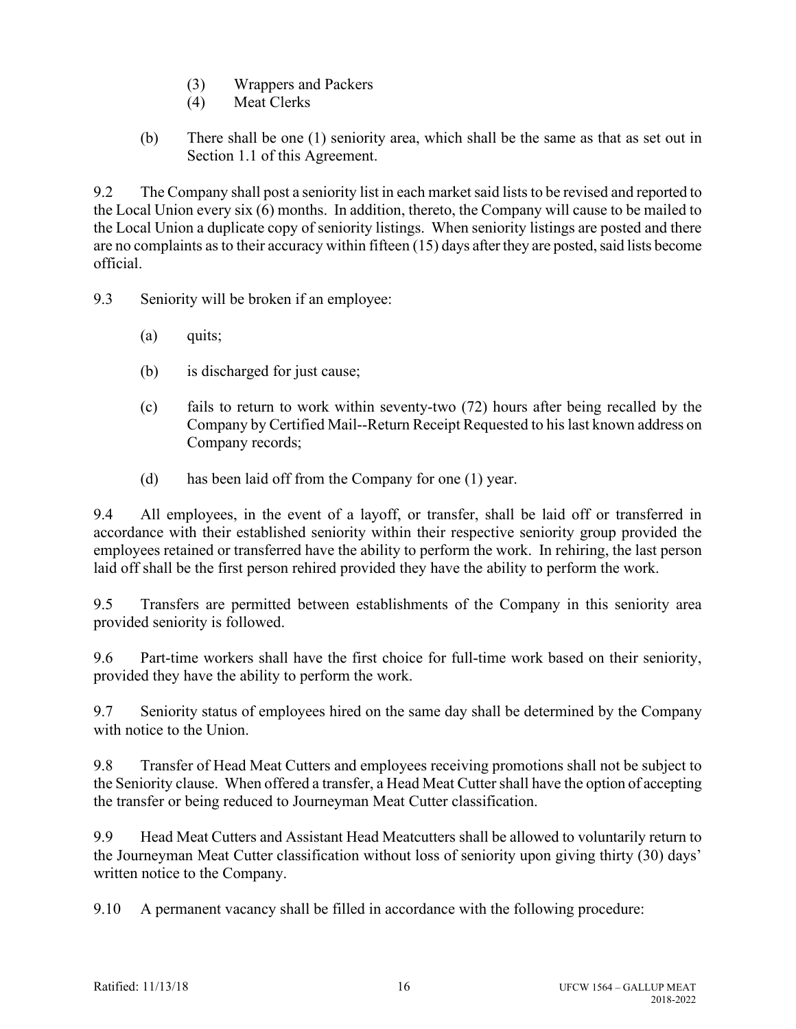- (3) Wrappers and Packers
- (4) Meat Clerks
- (b) There shall be one (1) seniority area, which shall be the same as that as set out in Section 1.1 of this Agreement.

9.2 The Company shall post a seniority list in each market said lists to be revised and reported to the Local Union every six (6) months. In addition, thereto, the Company will cause to be mailed to the Local Union a duplicate copy of seniority listings. When seniority listings are posted and there are no complaints as to their accuracy within fifteen (15) days after they are posted, said lists become official.

9.3 Seniority will be broken if an employee:

- (a) quits;
- (b) is discharged for just cause;
- (c) fails to return to work within seventy-two (72) hours after being recalled by the Company by Certified Mail--Return Receipt Requested to his last known address on Company records;
- (d) has been laid off from the Company for one (1) year.

9.4 All employees, in the event of a layoff, or transfer, shall be laid off or transferred in accordance with their established seniority within their respective seniority group provided the employees retained or transferred have the ability to perform the work. In rehiring, the last person laid off shall be the first person rehired provided they have the ability to perform the work.

9.5 Transfers are permitted between establishments of the Company in this seniority area provided seniority is followed.

9.6 Part-time workers shall have the first choice for full-time work based on their seniority, provided they have the ability to perform the work.

9.7 Seniority status of employees hired on the same day shall be determined by the Company with notice to the Union.

9.8 Transfer of Head Meat Cutters and employees receiving promotions shall not be subject to the Seniority clause. When offered a transfer, a Head Meat Cuttershall have the option of accepting the transfer or being reduced to Journeyman Meat Cutter classification.

9.9 Head Meat Cutters and Assistant Head Meatcutters shall be allowed to voluntarily return to the Journeyman Meat Cutter classification without loss of seniority upon giving thirty (30) days' written notice to the Company.

9.10 A permanent vacancy shall be filled in accordance with the following procedure: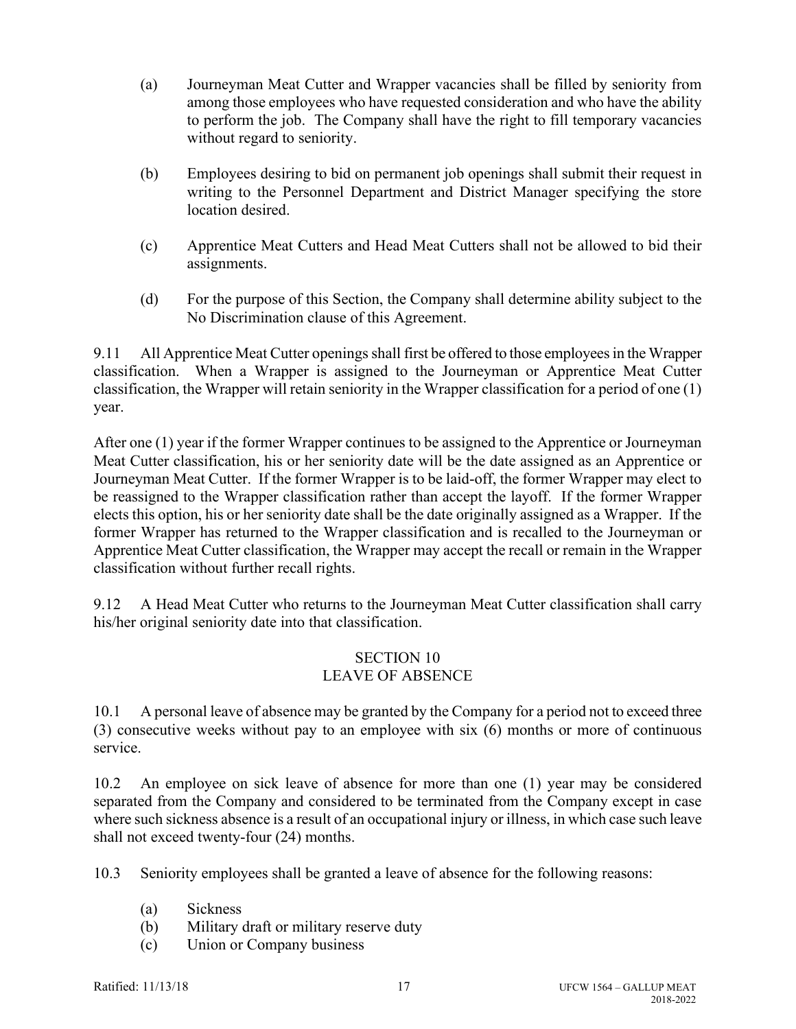- (a) Journeyman Meat Cutter and Wrapper vacancies shall be filled by seniority from among those employees who have requested consideration and who have the ability to perform the job. The Company shall have the right to fill temporary vacancies without regard to seniority.
- (b) Employees desiring to bid on permanent job openings shall submit their request in writing to the Personnel Department and District Manager specifying the store location desired.
- (c) Apprentice Meat Cutters and Head Meat Cutters shall not be allowed to bid their assignments.
- (d) For the purpose of this Section, the Company shall determine ability subject to the No Discrimination clause of this Agreement.

9.11 All Apprentice Meat Cutter openings shall first be offered to those employees in the Wrapper classification. When a Wrapper is assigned to the Journeyman or Apprentice Meat Cutter classification, the Wrapper will retain seniority in the Wrapper classification for a period of one (1) year.

After one (1) year if the former Wrapper continues to be assigned to the Apprentice or Journeyman Meat Cutter classification, his or her seniority date will be the date assigned as an Apprentice or Journeyman Meat Cutter. If the former Wrapper is to be laid-off, the former Wrapper may elect to be reassigned to the Wrapper classification rather than accept the layoff. If the former Wrapper elects this option, his or her seniority date shall be the date originally assigned as a Wrapper. If the former Wrapper has returned to the Wrapper classification and is recalled to the Journeyman or Apprentice Meat Cutter classification, the Wrapper may accept the recall or remain in the Wrapper classification without further recall rights.

9.12 A Head Meat Cutter who returns to the Journeyman Meat Cutter classification shall carry his/her original seniority date into that classification.

# SECTION 10 LEAVE OF ABSENCE

10.1 A personal leave of absence may be granted by the Company for a period not to exceed three (3) consecutive weeks without pay to an employee with six (6) months or more of continuous service.

10.2 An employee on sick leave of absence for more than one (1) year may be considered separated from the Company and considered to be terminated from the Company except in case where such sickness absence is a result of an occupational injury or illness, in which case such leave shall not exceed twenty-four (24) months.

10.3 Seniority employees shall be granted a leave of absence for the following reasons:

- (a) Sickness
- (b) Military draft or military reserve duty
- (c) Union or Company business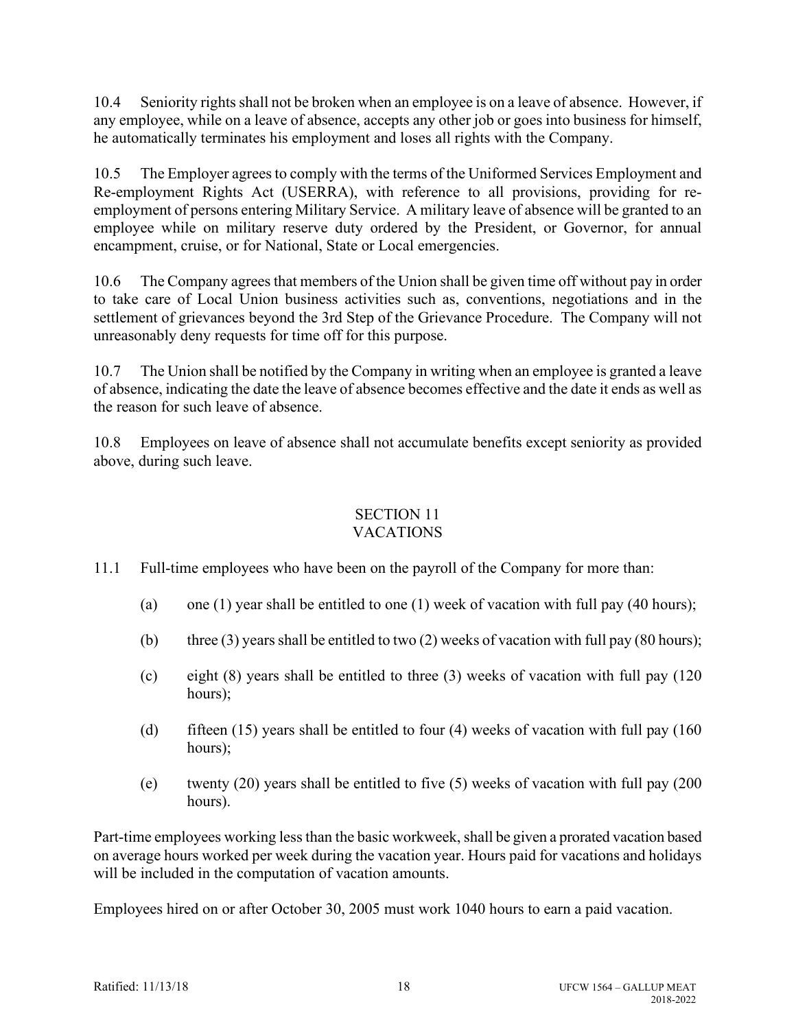10.4 Seniority rights shall not be broken when an employee is on a leave of absence. However, if any employee, while on a leave of absence, accepts any other job or goes into business for himself, he automatically terminates his employment and loses all rights with the Company.

10.5 The Employer agrees to comply with the terms of the Uniformed Services Employment and Re-employment Rights Act (USERRA), with reference to all provisions, providing for reemployment of persons entering Military Service. A military leave of absence will be granted to an employee while on military reserve duty ordered by the President, or Governor, for annual encampment, cruise, or for National, State or Local emergencies.

10.6 The Company agrees that members of the Union shall be given time off without pay in order to take care of Local Union business activities such as, conventions, negotiations and in the settlement of grievances beyond the 3rd Step of the Grievance Procedure. The Company will not unreasonably deny requests for time off for this purpose.

10.7 The Union shall be notified by the Company in writing when an employee is granted a leave of absence, indicating the date the leave of absence becomes effective and the date it ends as well as the reason for such leave of absence.

10.8 Employees on leave of absence shall not accumulate benefits except seniority as provided above, during such leave.

#### SECTION 11 VACATIONS

# 11.1 Full-time employees who have been on the payroll of the Company for more than:

- (a) one (1) year shall be entitled to one (1) week of vacation with full pay (40 hours);
- (b) three (3) years shall be entitled to two (2) weeks of vacation with full pay (80 hours);
- (c) eight (8) years shall be entitled to three (3) weeks of vacation with full pay (120 hours);
- (d) fifteen (15) years shall be entitled to four (4) weeks of vacation with full pay (160) hours);
- (e) twenty (20) years shall be entitled to five (5) weeks of vacation with full pay (200 hours).

Part-time employees working less than the basic workweek, shall be given a prorated vacation based on average hours worked per week during the vacation year. Hours paid for vacations and holidays will be included in the computation of vacation amounts.

Employees hired on or after October 30, 2005 must work 1040 hours to earn a paid vacation.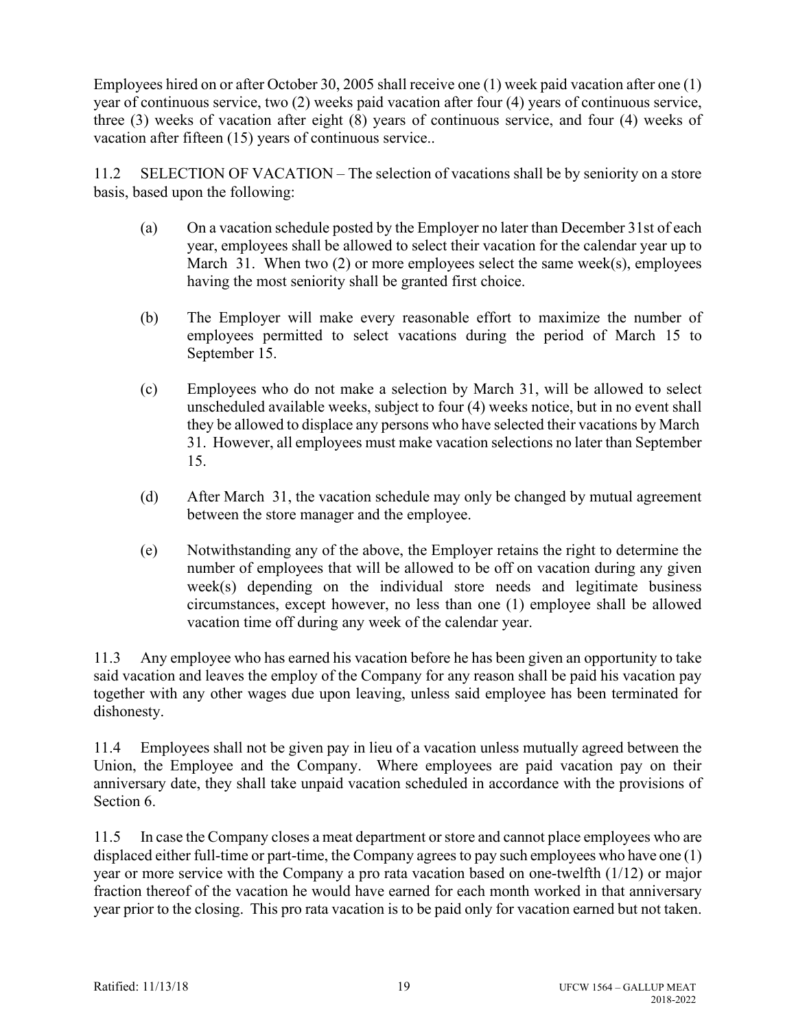Employees hired on or after October 30, 2005 shall receive one (1) week paid vacation after one (1) year of continuous service, two (2) weeks paid vacation after four (4) years of continuous service, three (3) weeks of vacation after eight (8) years of continuous service, and four (4) weeks of vacation after fifteen (15) years of continuous service..

11.2 SELECTION OF VACATION – The selection of vacations shall be by seniority on a store basis, based upon the following:

- (a) On a vacation schedule posted by the Employer no later than December 31st of each year, employees shall be allowed to select their vacation for the calendar year up to March 31. When two  $(2)$  or more employees select the same week(s), employees having the most seniority shall be granted first choice.
- (b) The Employer will make every reasonable effort to maximize the number of employees permitted to select vacations during the period of March 15 to September 15.
- (c) Employees who do not make a selection by March 31, will be allowed to select unscheduled available weeks, subject to four (4) weeks notice, but in no event shall they be allowed to displace any persons who have selected their vacations by March 31. However, all employees must make vacation selections no later than September 15.
- (d) After March 31, the vacation schedule may only be changed by mutual agreement between the store manager and the employee.
- (e) Notwithstanding any of the above, the Employer retains the right to determine the number of employees that will be allowed to be off on vacation during any given week(s) depending on the individual store needs and legitimate business circumstances, except however, no less than one (1) employee shall be allowed vacation time off during any week of the calendar year.

11.3 Any employee who has earned his vacation before he has been given an opportunity to take said vacation and leaves the employ of the Company for any reason shall be paid his vacation pay together with any other wages due upon leaving, unless said employee has been terminated for dishonesty.

11.4 Employees shall not be given pay in lieu of a vacation unless mutually agreed between the Union, the Employee and the Company. Where employees are paid vacation pay on their anniversary date, they shall take unpaid vacation scheduled in accordance with the provisions of Section 6.

11.5 In case the Company closes a meat department or store and cannot place employees who are displaced either full-time or part-time, the Company agrees to pay such employees who have one (1) year or more service with the Company a pro rata vacation based on one-twelfth (1/12) or major fraction thereof of the vacation he would have earned for each month worked in that anniversary year prior to the closing. This pro rata vacation is to be paid only for vacation earned but not taken.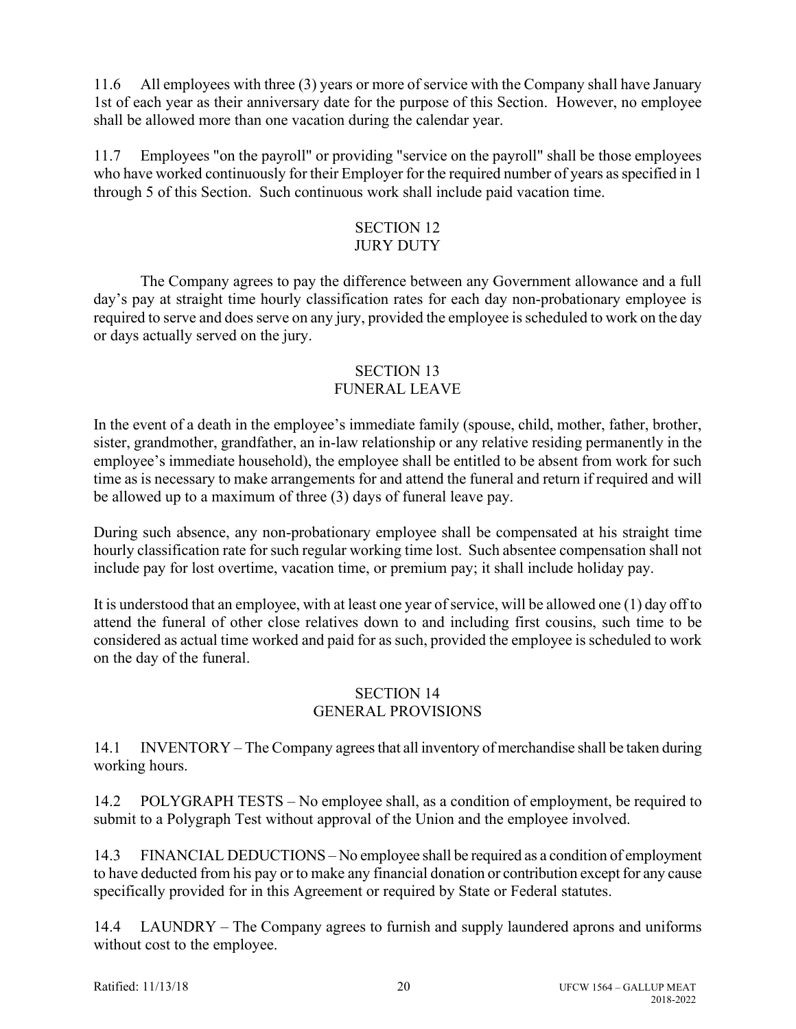11.6 All employees with three (3) years or more of service with the Company shall have January 1st of each year as their anniversary date for the purpose of this Section. However, no employee shall be allowed more than one vacation during the calendar year.

11.7 Employees "on the payroll" or providing "service on the payroll" shall be those employees who have worked continuously for their Employer for the required number of years as specified in 1 through 5 of this Section. Such continuous work shall include paid vacation time.

#### SECTION 12 JURY DUTY

The Company agrees to pay the difference between any Government allowance and a full day's pay at straight time hourly classification rates for each day non-probationary employee is required to serve and does serve on any jury, provided the employee is scheduled to work on the day or days actually served on the jury.

## SECTION 13 FUNERAL LEAVE

In the event of a death in the employee's immediate family (spouse, child, mother, father, brother, sister, grandmother, grandfather, an in-law relationship or any relative residing permanently in the employee's immediate household), the employee shall be entitled to be absent from work for such time as is necessary to make arrangements for and attend the funeral and return if required and will be allowed up to a maximum of three (3) days of funeral leave pay.

During such absence, any non-probationary employee shall be compensated at his straight time hourly classification rate for such regular working time lost. Such absentee compensation shall not include pay for lost overtime, vacation time, or premium pay; it shall include holiday pay.

It is understood that an employee, with at least one year of service, will be allowed one (1) day off to attend the funeral of other close relatives down to and including first cousins, such time to be considered as actual time worked and paid for as such, provided the employee is scheduled to work on the day of the funeral.

## SECTION 14 GENERAL PROVISIONS

14.1 INVENTORY – The Company agrees that all inventory of merchandise shall be taken during working hours.

14.2 POLYGRAPH TESTS – No employee shall, as a condition of employment, be required to submit to a Polygraph Test without approval of the Union and the employee involved.

14.3 FINANCIAL DEDUCTIONS – No employee shall be required as a condition of employment to have deducted from his pay or to make any financial donation or contribution except for any cause specifically provided for in this Agreement or required by State or Federal statutes.

14.4 LAUNDRY – The Company agrees to furnish and supply laundered aprons and uniforms without cost to the employee.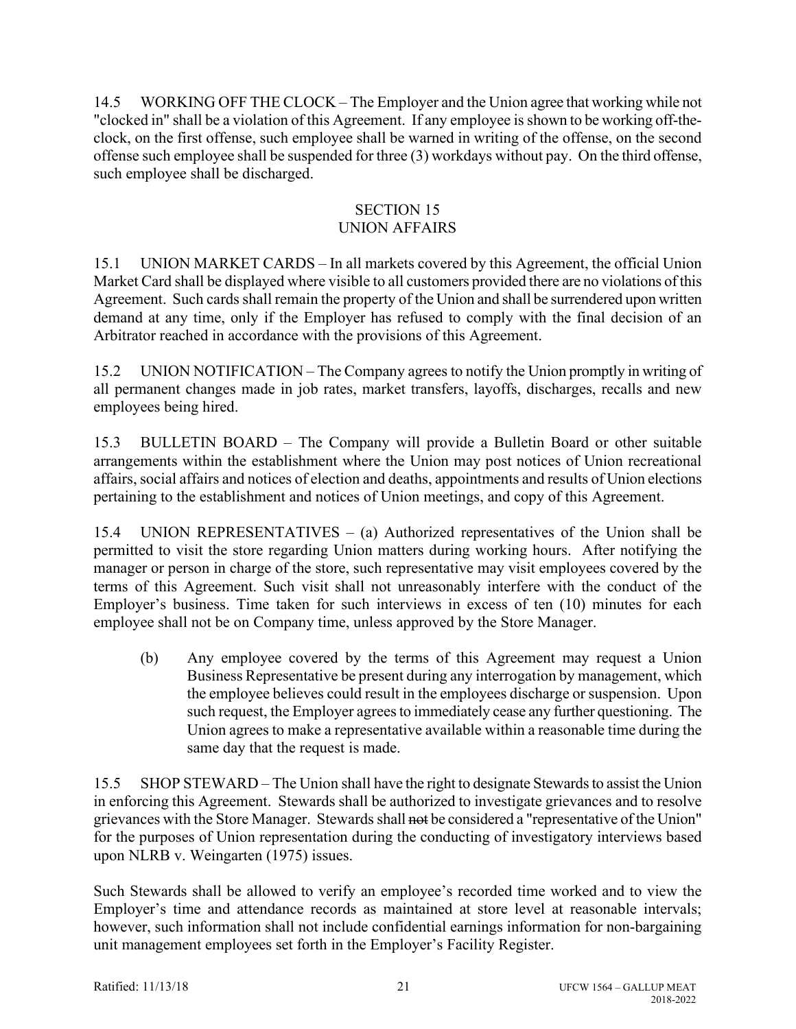14.5 WORKING OFF THE CLOCK – The Employer and the Union agree that working while not "clocked in" shall be a violation of this Agreement. If any employee is shown to be working off-theclock, on the first offense, such employee shall be warned in writing of the offense, on the second offense such employee shall be suspended for three (3) workdays without pay. On the third offense, such employee shall be discharged.

#### SECTION 15 UNION AFFAIRS

## 15.1 UNION MARKET CARDS – In all markets covered by this Agreement, the official Union Market Card shall be displayed where visible to all customers provided there are no violations of this Agreement. Such cards shall remain the property of the Union and shall be surrendered upon written demand at any time, only if the Employer has refused to comply with the final decision of an Arbitrator reached in accordance with the provisions of this Agreement.

15.2 UNION NOTIFICATION – The Company agrees to notify the Union promptly in writing of all permanent changes made in job rates, market transfers, layoffs, discharges, recalls and new employees being hired.

15.3 BULLETIN BOARD – The Company will provide a Bulletin Board or other suitable arrangements within the establishment where the Union may post notices of Union recreational affairs, social affairs and notices of election and deaths, appointments and results of Union elections pertaining to the establishment and notices of Union meetings, and copy of this Agreement.

15.4 UNION REPRESENTATIVES – (a) Authorized representatives of the Union shall be permitted to visit the store regarding Union matters during working hours. After notifying the manager or person in charge of the store, such representative may visit employees covered by the terms of this Agreement. Such visit shall not unreasonably interfere with the conduct of the Employer's business. Time taken for such interviews in excess of ten (10) minutes for each employee shall not be on Company time, unless approved by the Store Manager.

(b) Any employee covered by the terms of this Agreement may request a Union Business Representative be present during any interrogation by management, which the employee believes could result in the employees discharge or suspension. Upon such request, the Employer agrees to immediately cease any further questioning. The Union agrees to make a representative available within a reasonable time during the same day that the request is made.

15.5 SHOP STEWARD – The Union shall have the right to designate Stewards to assist the Union in enforcing this Agreement. Stewards shall be authorized to investigate grievances and to resolve grievances with the Store Manager. Stewards shall not be considered a "representative of the Union" for the purposes of Union representation during the conducting of investigatory interviews based upon NLRB v. Weingarten (1975) issues.

Such Stewards shall be allowed to verify an employee's recorded time worked and to view the Employer's time and attendance records as maintained at store level at reasonable intervals; however, such information shall not include confidential earnings information for non-bargaining unit management employees set forth in the Employer's Facility Register.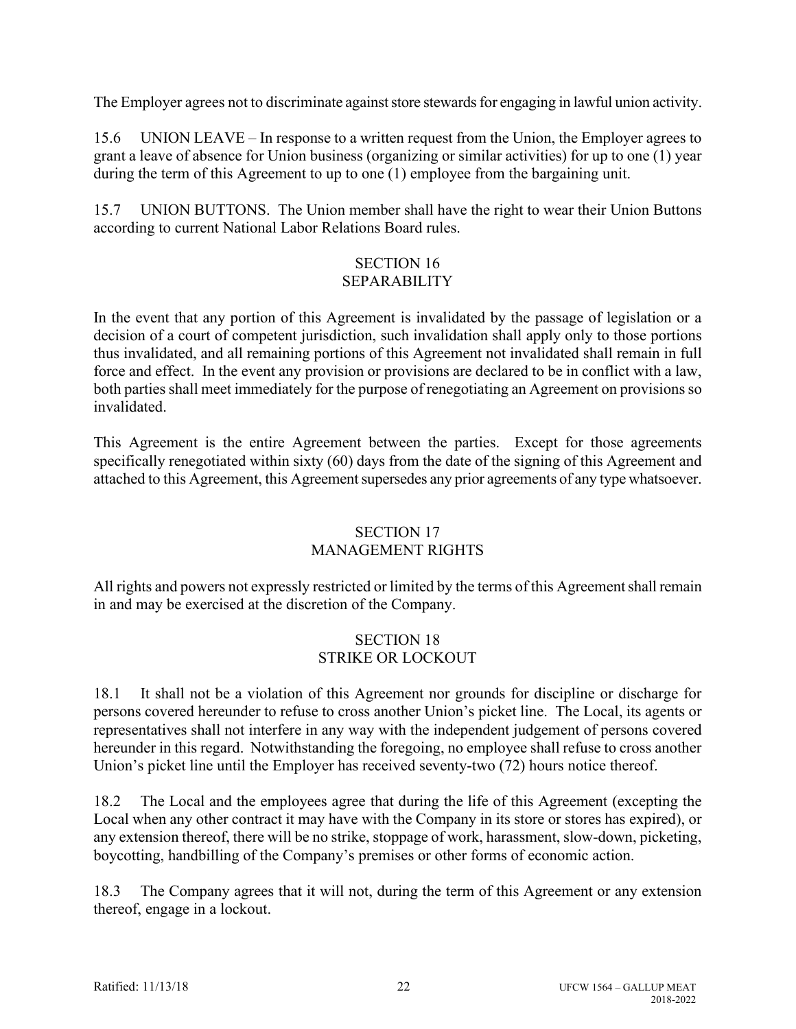The Employer agrees not to discriminate against store stewards for engaging in lawful union activity.

15.6 UNION LEAVE – In response to a written request from the Union, the Employer agrees to grant a leave of absence for Union business (organizing or similar activities) for up to one (1) year during the term of this Agreement to up to one (1) employee from the bargaining unit.

15.7 UNION BUTTONS. The Union member shall have the right to wear their Union Buttons according to current National Labor Relations Board rules.

## SECTION 16 SEPARABILITY

In the event that any portion of this Agreement is invalidated by the passage of legislation or a decision of a court of competent jurisdiction, such invalidation shall apply only to those portions thus invalidated, and all remaining portions of this Agreement not invalidated shall remain in full force and effect. In the event any provision or provisions are declared to be in conflict with a law, both parties shall meet immediately for the purpose of renegotiating an Agreement on provisions so invalidated.

This Agreement is the entire Agreement between the parties. Except for those agreements specifically renegotiated within sixty (60) days from the date of the signing of this Agreement and attached to this Agreement, this Agreement supersedes any prior agreements of any type whatsoever.

## SECTION 17 MANAGEMENT RIGHTS

All rights and powers not expressly restricted or limited by the terms of this Agreement shall remain in and may be exercised at the discretion of the Company.

## SECTION 18 STRIKE OR LOCKOUT

18.1 It shall not be a violation of this Agreement nor grounds for discipline or discharge for persons covered hereunder to refuse to cross another Union's picket line. The Local, its agents or representatives shall not interfere in any way with the independent judgement of persons covered hereunder in this regard. Notwithstanding the foregoing, no employee shall refuse to cross another Union's picket line until the Employer has received seventy-two (72) hours notice thereof.

18.2 The Local and the employees agree that during the life of this Agreement (excepting the Local when any other contract it may have with the Company in its store or stores has expired), or any extension thereof, there will be no strike, stoppage of work, harassment, slow-down, picketing, boycotting, handbilling of the Company's premises or other forms of economic action.

18.3 The Company agrees that it will not, during the term of this Agreement or any extension thereof, engage in a lockout.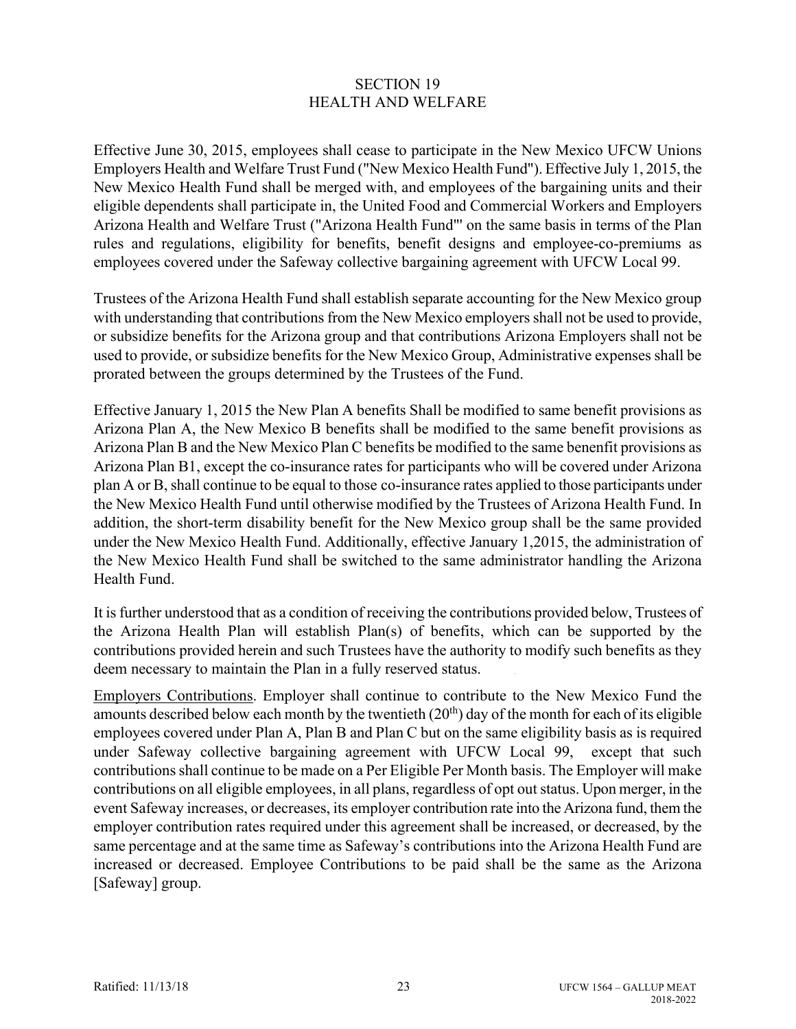### SECTION 19 HEALTH AND WELFARE

Effective June 30, 2015, employees shall cease to participate in the New Mexico UFCW Unions Employers Health and Welfare Trust Fund ("New Mexico Health Fund"). Effective July 1, 2015, the New Mexico Health Fund shall be merged with, and employees of the bargaining units and their eligible dependents shall participate in, the United Food and Commercial Workers and Employers Arizona Health and Welfare Trust ("Arizona Health Fund"' on the same basis in terms of the Plan rules and regulations, eligibility for benefits, benefit designs and employee-co-premiums as employees covered under the Safeway collective bargaining agreement with UFCW Local 99.

Trustees of the Arizona Health Fund shall establish separate accounting for the New Mexico group with understanding that contributions from the New Mexico employers shall not be used to provide, or subsidize benefits for the Arizona group and that contributions Arizona Employers shall not be used to provide, or subsidize benefits for the New Mexico Group, Administrative expenses shall be prorated between the groups determined by the Trustees of the Fund.

Effective January 1, 2015 the New Plan A benefits Shall be modified to same benefit provisions as Arizona Plan A, the New Mexico B benefits shall be modified to the same benefit provisions as Arizona Plan B and the New Mexico Plan C benefits be modified to the same benenfit provisions as Arizona Plan B1, except the co-insurance rates for participants who will be covered under Arizona plan A or B, shall continue to be equal to those co-insurance rates applied to those participants under the New Mexico Health Fund until otherwise modified by the Trustees of Arizona Health Fund. In addition, the short-term disability benefit for the New Mexico group shall be the same provided under the New Mexico Health Fund. Additionally, effective January 1,2015, the administration of the New Mexico Health Fund shall be switched to the same administrator handling the Arizona Health Fund.

It is further understood that as a condition of receiving the contributions provided below, Trustees of the Arizona Health Plan will establish Plan(s) of benefits, which can be supported by the contributions provided herein and such Trustees have the authority to modify such benefits as they deem necessary to maintain the Plan in a fully reserved status.

Employers Contributions. Employer shall continue to contribute to the New Mexico Fund the amounts described below each month by the twentieth  $(20<sup>th</sup>)$  day of the month for each of its eligible employees covered under Plan A, Plan B and Plan C but on the same eligibility basis as is required under Safeway collective bargaining agreement with UFCW Local 99, except that such contributions shall continue to be made on a Per Eligible Per Month basis. The Employer will make contributions on all eligible employees, in all plans, regardless of opt out status. Upon merger, in the event Safeway increases, or decreases, its employer contribution rate into the Arizona fund, them the employer contribution rates required under this agreement shall be increased, or decreased, by the same percentage and at the same time as Safeway's contributions into the Arizona Health Fund are increased or decreased. Employee Contributions to be paid shall be the same as the Arizona [Safeway] group.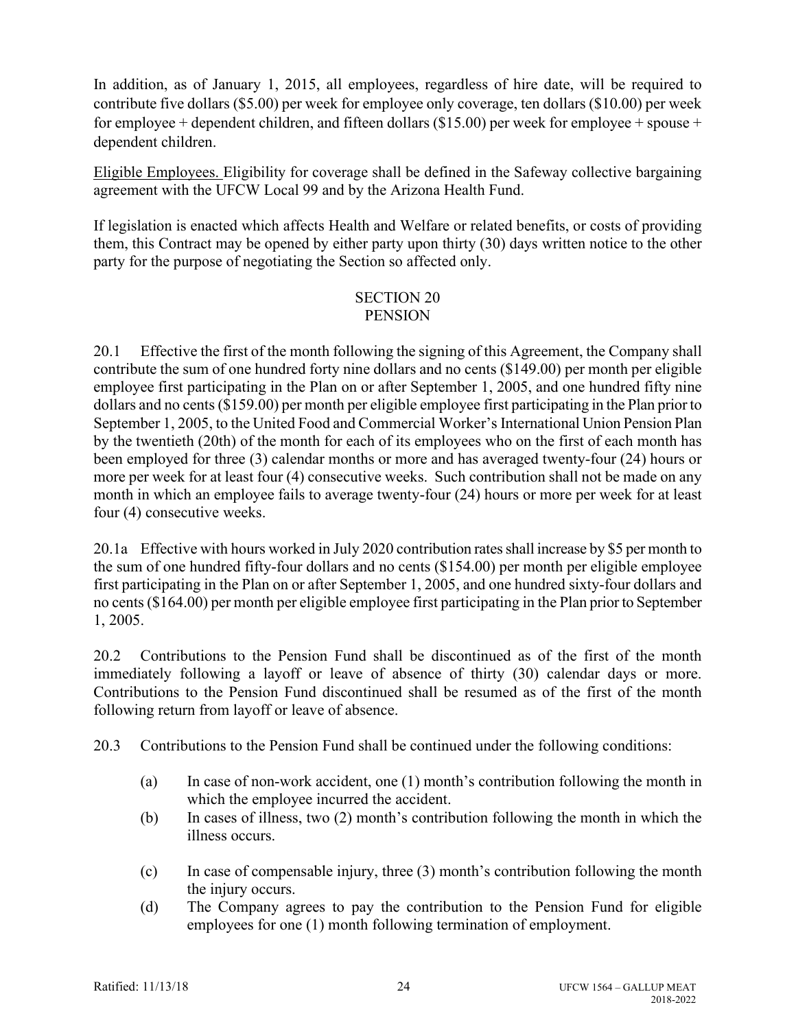In addition, as of January 1, 2015, all employees, regardless of hire date, will be required to contribute five dollars (\$5.00) per week for employee only coverage, ten dollars (\$10.00) per week for employee + dependent children, and fifteen dollars (\$15.00) per week for employee + spouse + dependent children.

Eligible Employees. Eligibility for coverage shall be defined in the Safeway collective bargaining agreement with the UFCW Local 99 and by the Arizona Health Fund.

If legislation is enacted which affects Health and Welfare or related benefits, or costs of providing them, this Contract may be opened by either party upon thirty (30) days written notice to the other party for the purpose of negotiating the Section so affected only.

### SECTION 20 **PENSION**

20.1 Effective the first of the month following the signing of this Agreement, the Company shall contribute the sum of one hundred forty nine dollars and no cents (\$149.00) per month per eligible employee first participating in the Plan on or after September 1, 2005, and one hundred fifty nine dollars and no cents (\$159.00) per month per eligible employee first participating in the Plan prior to September 1, 2005, to the United Food and Commercial Worker's International Union Pension Plan by the twentieth (20th) of the month for each of its employees who on the first of each month has been employed for three (3) calendar months or more and has averaged twenty-four (24) hours or more per week for at least four (4) consecutive weeks. Such contribution shall not be made on any month in which an employee fails to average twenty-four (24) hours or more per week for at least four (4) consecutive weeks.

20.1a Effective with hours worked in July 2020 contribution rates shall increase by \$5 per month to the sum of one hundred fifty-four dollars and no cents (\$154.00) per month per eligible employee first participating in the Plan on or after September 1, 2005, and one hundred sixty-four dollars and no cents (\$164.00) per month per eligible employee first participating in the Plan prior to September 1, 2005.

20.2 Contributions to the Pension Fund shall be discontinued as of the first of the month immediately following a layoff or leave of absence of thirty (30) calendar days or more. Contributions to the Pension Fund discontinued shall be resumed as of the first of the month following return from layoff or leave of absence.

20.3 Contributions to the Pension Fund shall be continued under the following conditions:

- (a) In case of non-work accident, one (1) month's contribution following the month in which the employee incurred the accident.
- (b) In cases of illness, two (2) month's contribution following the month in which the illness occurs.
- (c) In case of compensable injury, three (3) month's contribution following the month the injury occurs.
- (d) The Company agrees to pay the contribution to the Pension Fund for eligible employees for one (1) month following termination of employment.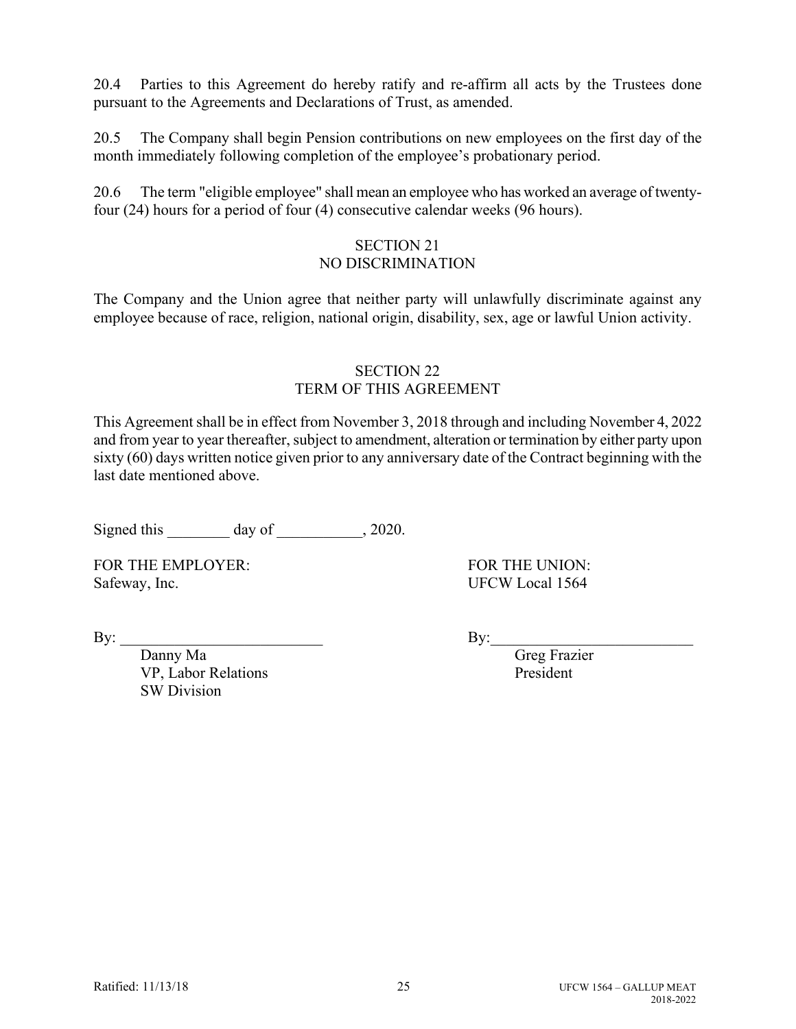20.4 Parties to this Agreement do hereby ratify and re-affirm all acts by the Trustees done pursuant to the Agreements and Declarations of Trust, as amended.

20.5 The Company shall begin Pension contributions on new employees on the first day of the month immediately following completion of the employee's probationary period.

20.6 The term "eligible employee" shall mean an employee who has worked an average of twentyfour (24) hours for a period of four (4) consecutive calendar weeks (96 hours).

## SECTION 21 NO DISCRIMINATION

The Company and the Union agree that neither party will unlawfully discriminate against any employee because of race, religion, national origin, disability, sex, age or lawful Union activity.

## SECTION 22 TERM OF THIS AGREEMENT

This Agreement shall be in effect from November 3, 2018 through and including November 4, 2022 and from year to year thereafter, subject to amendment, alteration or termination by either party upon sixty (60) days written notice given prior to any anniversary date of the Contract beginning with the last date mentioned above.

Signed this \_\_\_\_\_\_\_\_ day of \_\_\_\_\_\_\_\_\_, 2020.

FOR THE EMPLOYER: FOR THE UNION: Safeway, Inc. UFCW Local 1564

By: \_\_\_\_\_\_\_\_\_\_\_\_\_\_\_\_\_\_\_\_\_\_\_\_\_\_ By:\_\_\_\_\_\_\_\_\_\_\_\_\_\_\_\_\_\_\_\_\_\_\_\_\_\_

Danny Ma Greg Frazier VP, Labor Relations President SW Division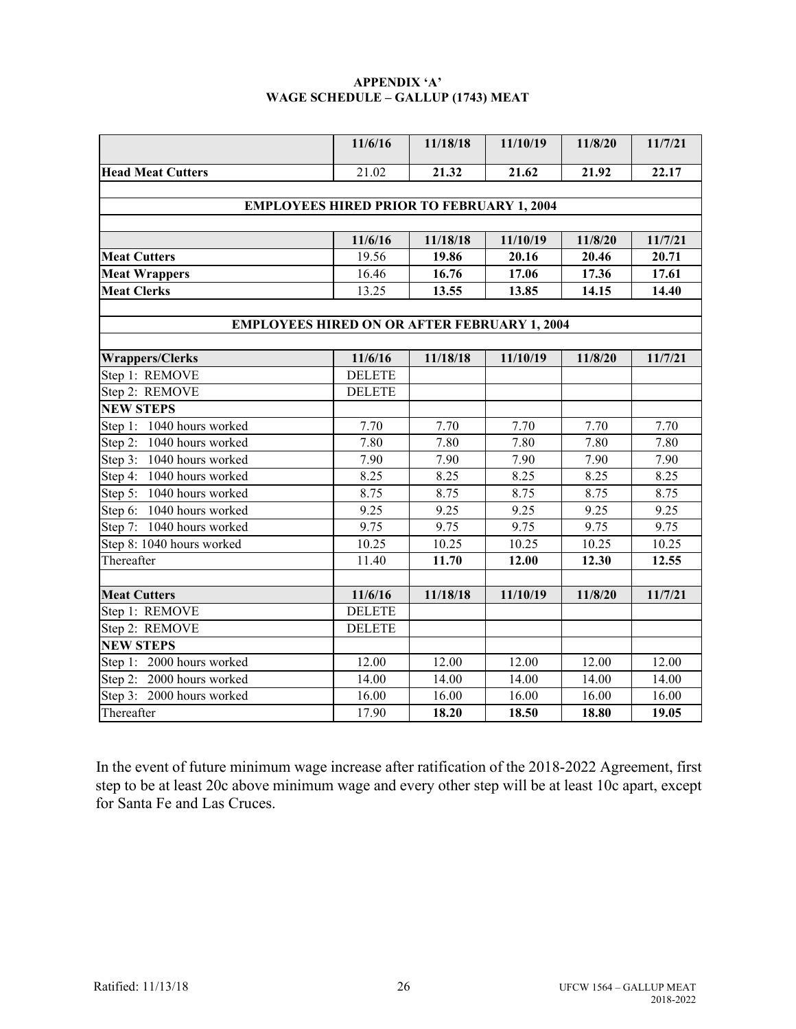#### **APPENDIX 'A' WAGE SCHEDULE – GALLUP (1743) MEAT**

|                                                     | 11/6/16       | 11/18/18 | 11/10/19 | 11/8/20 | 11/7/21 |  |  |  |  |  |  |
|-----------------------------------------------------|---------------|----------|----------|---------|---------|--|--|--|--|--|--|
| <b>Head Meat Cutters</b>                            | 21.02         | 21.32    | 21.62    | 21.92   | 22.17   |  |  |  |  |  |  |
|                                                     |               |          |          |         |         |  |  |  |  |  |  |
| <b>EMPLOYEES HIRED PRIOR TO FEBRUARY 1, 2004</b>    |               |          |          |         |         |  |  |  |  |  |  |
|                                                     |               |          |          |         |         |  |  |  |  |  |  |
|                                                     | 11/6/16       | 11/18/18 | 11/10/19 | 11/8/20 | 11/7/21 |  |  |  |  |  |  |
| <b>Meat Cutters</b>                                 | 19.56         | 19.86    | 20.16    | 20.46   | 20.71   |  |  |  |  |  |  |
| <b>Meat Wrappers</b>                                | 16.46         | 16.76    | 17.06    | 17.36   | 17.61   |  |  |  |  |  |  |
| <b>Meat Clerks</b>                                  | 13.25         | 13.55    | 13.85    | 14.15   | 14.40   |  |  |  |  |  |  |
|                                                     |               |          |          |         |         |  |  |  |  |  |  |
| <b>EMPLOYEES HIRED ON OR AFTER FEBRUARY 1, 2004</b> |               |          |          |         |         |  |  |  |  |  |  |
|                                                     |               |          |          |         |         |  |  |  |  |  |  |
| <b>Wrappers/Clerks</b>                              | 11/6/16       | 11/18/18 | 11/10/19 | 11/8/20 | 11/7/21 |  |  |  |  |  |  |
| Step 1: REMOVE                                      | <b>DELETE</b> |          |          |         |         |  |  |  |  |  |  |
| Step 2: REMOVE                                      | <b>DELETE</b> |          |          |         |         |  |  |  |  |  |  |
| <b>NEW STEPS</b>                                    |               |          |          |         |         |  |  |  |  |  |  |
| Step 1: 1040 hours worked                           | 7.70          | 7.70     | 7.70     | 7.70    | 7.70    |  |  |  |  |  |  |
| Step $2$ :<br>1040 hours worked                     | 7.80          | 7.80     | 7.80     | 7.80    | 7.80    |  |  |  |  |  |  |
| Step 3:<br>1040 hours worked                        | 7.90          | 7.90     | 7.90     | 7.90    | 7.90    |  |  |  |  |  |  |
| Step 4:<br>1040 hours worked                        | 8.25          | 8.25     | 8.25     | 8.25    | 8.25    |  |  |  |  |  |  |
| Step 5: 1040 hours worked                           | 8.75          | 8.75     | 8.75     | 8.75    | 8.75    |  |  |  |  |  |  |
| Step 6: 1040 hours worked                           | 9.25          | 9.25     | 9.25     | 9.25    | 9.25    |  |  |  |  |  |  |
| Step 7: 1040 hours worked                           | 9.75          | 9.75     | 9.75     | 9.75    | 9.75    |  |  |  |  |  |  |
| Step 8: 1040 hours worked                           | 10.25         | 10.25    | 10.25    | 10.25   | 10.25   |  |  |  |  |  |  |
| Thereafter                                          | 11.40         | 11.70    | 12.00    | 12.30   | 12.55   |  |  |  |  |  |  |
|                                                     |               |          |          |         |         |  |  |  |  |  |  |
| <b>Meat Cutters</b>                                 | 11/6/16       | 11/18/18 | 11/10/19 | 11/8/20 | 11/7/21 |  |  |  |  |  |  |
| Step 1: REMOVE                                      | <b>DELETE</b> |          |          |         |         |  |  |  |  |  |  |
| Step 2: REMOVE                                      | <b>DELETE</b> |          |          |         |         |  |  |  |  |  |  |
| <b>NEW STEPS</b>                                    |               |          |          |         |         |  |  |  |  |  |  |
| Step 1: 2000 hours worked                           | 12.00         | 12.00    | 12.00    | 12.00   | 12.00   |  |  |  |  |  |  |
| Step 2: 2000 hours worked                           | 14.00         | 14.00    | 14.00    | 14.00   | 14.00   |  |  |  |  |  |  |
| Step 3: 2000 hours worked                           | 16.00         | 16.00    | 16.00    | 16.00   | 16.00   |  |  |  |  |  |  |
| Thereafter                                          | 17.90         | 18.20    | 18.50    | 18.80   | 19.05   |  |  |  |  |  |  |

In the event of future minimum wage increase after ratification of the 2018-2022 Agreement, first step to be at least 20c above minimum wage and every other step will be at least 10c apart, except for Santa Fe and Las Cruces.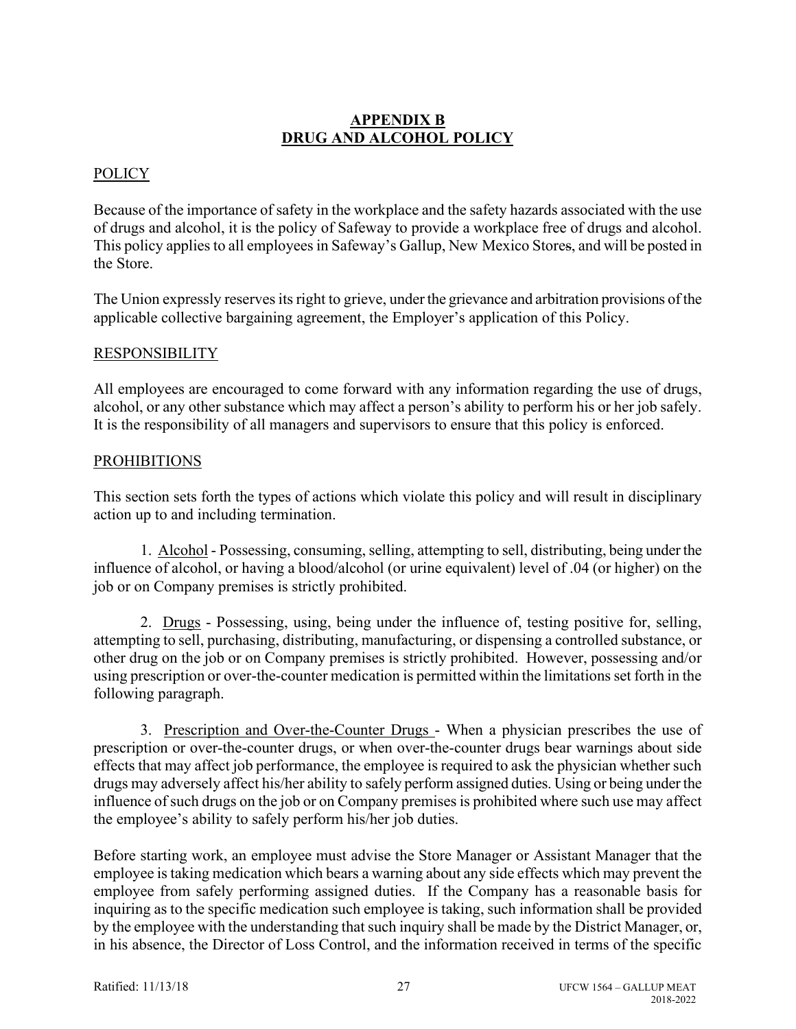# **APPENDIX B DRUG AND ALCOHOL POLICY**

## POLICY

Because of the importance of safety in the workplace and the safety hazards associated with the use of drugs and alcohol, it is the policy of Safeway to provide a workplace free of drugs and alcohol. This policy applies to all employees in Safeway's Gallup, New Mexico Stores, and will be posted in the Store.

The Union expressly reserves its right to grieve, under the grievance and arbitration provisions of the applicable collective bargaining agreement, the Employer's application of this Policy.

## RESPONSIBILITY

All employees are encouraged to come forward with any information regarding the use of drugs, alcohol, or any other substance which may affect a person's ability to perform his or her job safely. It is the responsibility of all managers and supervisors to ensure that this policy is enforced.

## **PROHIBITIONS**

This section sets forth the types of actions which violate this policy and will result in disciplinary action up to and including termination.

1. Alcohol - Possessing, consuming, selling, attempting to sell, distributing, being under the influence of alcohol, or having a blood/alcohol (or urine equivalent) level of .04 (or higher) on the job or on Company premises is strictly prohibited.

2. Drugs - Possessing, using, being under the influence of, testing positive for, selling, attempting to sell, purchasing, distributing, manufacturing, or dispensing a controlled substance, or other drug on the job or on Company premises is strictly prohibited. However, possessing and/or using prescription or over-the-counter medication is permitted within the limitations set forth in the following paragraph.

3. Prescription and Over-the-Counter Drugs - When a physician prescribes the use of prescription or over-the-counter drugs, or when over-the-counter drugs bear warnings about side effects that may affect job performance, the employee is required to ask the physician whether such drugs may adversely affect his/her ability to safely perform assigned duties. Using or being under the influence of such drugs on the job or on Company premises is prohibited where such use may affect the employee's ability to safely perform his/her job duties.

Before starting work, an employee must advise the Store Manager or Assistant Manager that the employee istaking medication which bears a warning about any side effects which may prevent the employee from safely performing assigned duties. If the Company has a reasonable basis for inquiring as to the specific medication such employee is taking, such information shall be provided by the employee with the understanding that such inquiry shall be made by the District Manager, or, in his absence, the Director of Loss Control, and the information received in terms of the specific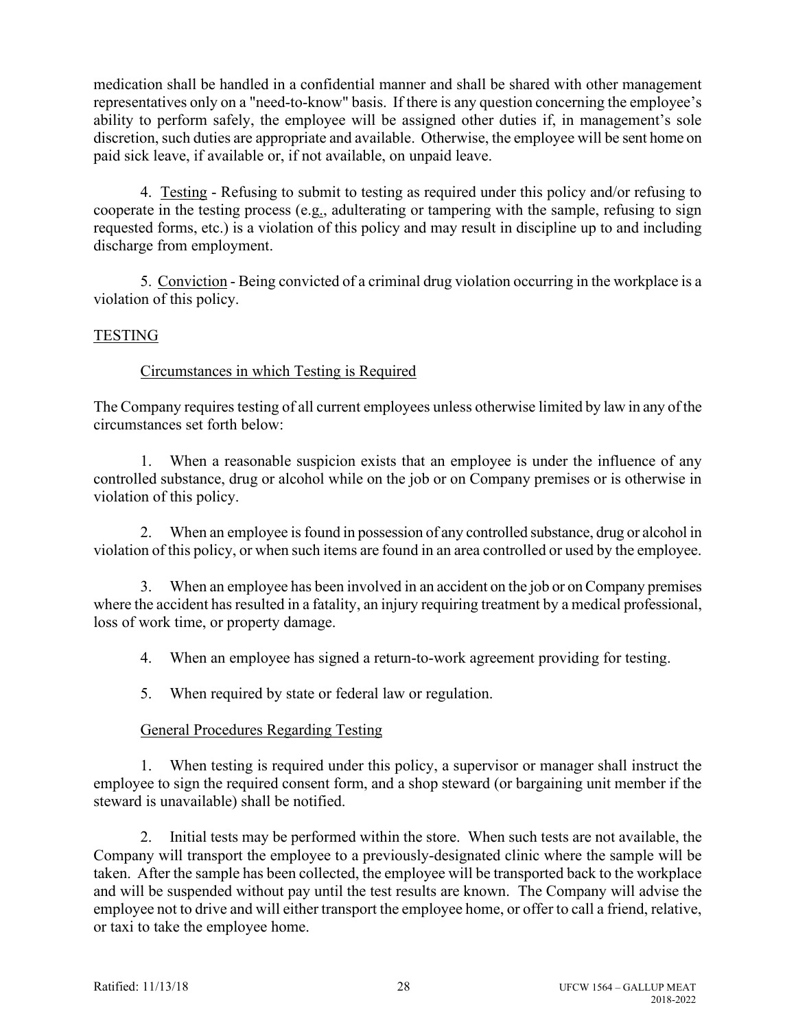medication shall be handled in a confidential manner and shall be shared with other management representatives only on a "need-to-know" basis. If there is any question concerning the employee's ability to perform safely, the employee will be assigned other duties if, in management's sole discretion, such duties are appropriate and available. Otherwise, the employee will be sent home on paid sick leave, if available or, if not available, on unpaid leave.

4. Testing - Refusing to submit to testing as required under this policy and/or refusing to cooperate in the testing process (e.g., adulterating or tampering with the sample, refusing to sign requested forms, etc.) is a violation of this policy and may result in discipline up to and including discharge from employment.

5. Conviction - Being convicted of a criminal drug violation occurring in the workplace is a violation of this policy.

## TESTING

# Circumstances in which Testing is Required

The Company requires testing of all current employees unless otherwise limited by law in any of the circumstances set forth below:

1. When a reasonable suspicion exists that an employee is under the influence of any controlled substance, drug or alcohol while on the job or on Company premises or is otherwise in violation of this policy.

2. When an employee is found in possession of any controlled substance, drug or alcohol in violation of this policy, or when such items are found in an area controlled or used by the employee.

3. When an employee has been involved in an accident on the job or on Company premises where the accident has resulted in a fatality, an injury requiring treatment by a medical professional, loss of work time, or property damage.

4. When an employee has signed a return-to-work agreement providing for testing.

5. When required by state or federal law or regulation.

# General Procedures Regarding Testing

1. When testing is required under this policy, a supervisor or manager shall instruct the employee to sign the required consent form, and a shop steward (or bargaining unit member if the steward is unavailable) shall be notified.

2. Initial tests may be performed within the store. When such tests are not available, the Company will transport the employee to a previously-designated clinic where the sample will be taken. After the sample has been collected, the employee will be transported back to the workplace and will be suspended without pay until the test results are known. The Company will advise the employee not to drive and will either transport the employee home, or offer to call a friend, relative, or taxi to take the employee home.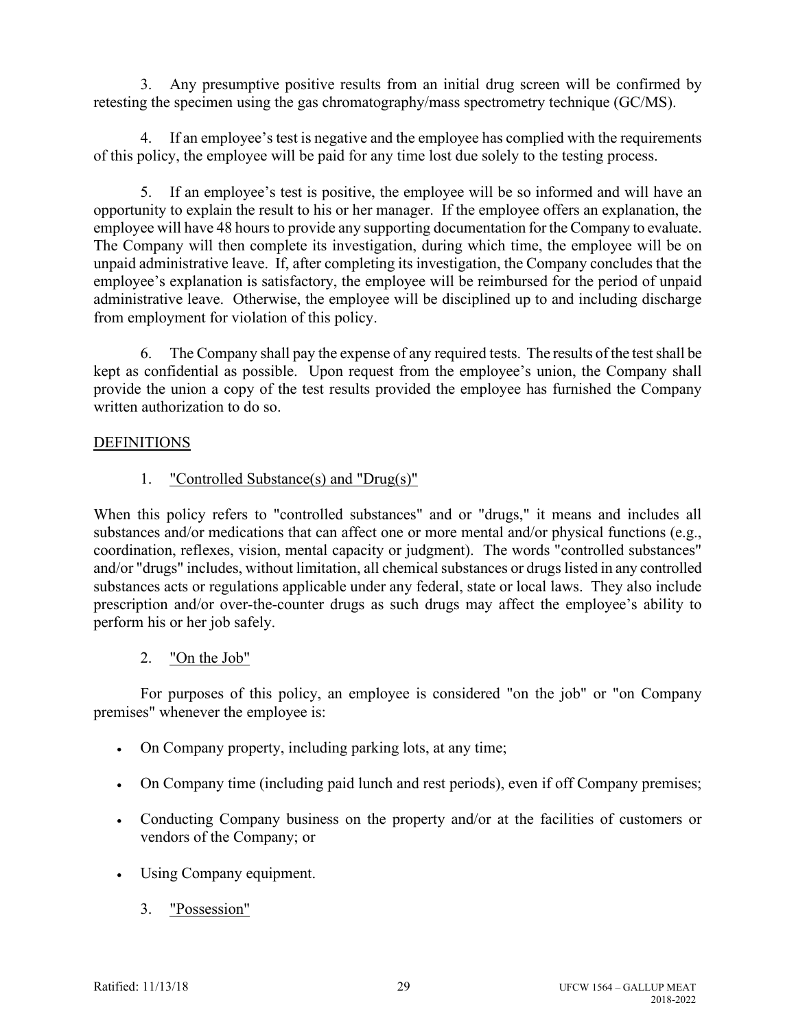3. Any presumptive positive results from an initial drug screen will be confirmed by retesting the specimen using the gas chromatography/mass spectrometry technique (GC/MS).

4. If an employee's test is negative and the employee has complied with the requirements of this policy, the employee will be paid for any time lost due solely to the testing process.

5. If an employee's test is positive, the employee will be so informed and will have an opportunity to explain the result to his or her manager. If the employee offers an explanation, the employee will have 48 hours to provide any supporting documentation for the Company to evaluate. The Company will then complete its investigation, during which time, the employee will be on unpaid administrative leave. If, after completing its investigation, the Company concludes that the employee's explanation is satisfactory, the employee will be reimbursed for the period of unpaid administrative leave. Otherwise, the employee will be disciplined up to and including discharge from employment for violation of this policy.

6. The Company shall pay the expense of any required tests. The results of the test shall be kept as confidential as possible. Upon request from the employee's union, the Company shall provide the union a copy of the test results provided the employee has furnished the Company written authorization to do so.

## **DEFINITIONS**

## 1. "Controlled Substance(s) and "Drug(s)"

When this policy refers to "controlled substances" and or "drugs," it means and includes all substances and/or medications that can affect one or more mental and/or physical functions (e.g., coordination, reflexes, vision, mental capacity or judgment). The words "controlled substances" and/or "drugs" includes, without limitation, all chemical substances or drugs listed in any controlled substances acts or regulations applicable under any federal, state or local laws. They also include prescription and/or over-the-counter drugs as such drugs may affect the employee's ability to perform his or her job safely.

2. "On the Job"

For purposes of this policy, an employee is considered "on the job" or "on Company premises" whenever the employee is:

- On Company property, including parking lots, at any time;
- On Company time (including paid lunch and rest periods), even if off Company premises;
- Conducting Company business on the property and/or at the facilities of customers or vendors of the Company; or
- Using Company equipment.
	- 3. "Possession"